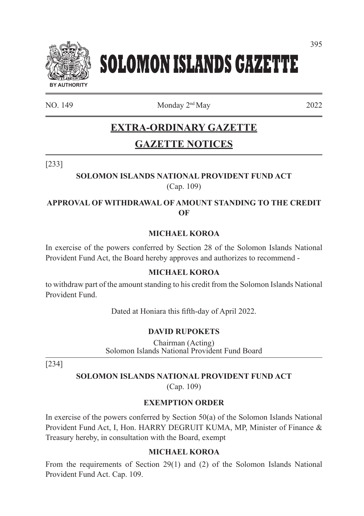

# **SOLOMON ISLANDS GAZETTE**

 $NQ$ . 149 Monday 2<sup>nd</sup> May 2022

## **EXTRA-ORDINARY GAZETTE**

## **GAZETTE NOTICES**

[233]

## **SOLOMON ISLANDS NATIONAL PROVIDENT FUND ACT**  (Cap. 109)

## **APPROVAL OF WITHDRAWAL OF AMOUNT STANDING TO THE CREDIT OF**

## **MICHAEL KOROA**

In exercise of the powers conferred by Section 28 of the Solomon Islands National Provident Fund Act, the Board hereby approves and authorizes to recommend -

## **MICHAEL KOROA**

to withdraw part of the amount standing to his credit from the Solomon Islands National Provident Fund.

Dated at Honiara this fifth-day of April 2022.

## **DAVID RUPOKETS**

Chairman (Acting) Solomon Islands National Provident Fund Board

[234]

## **SOLOMON ISLANDS NATIONAL PROVIDENT FUND ACT**

(Cap. 109)

## **EXEMPTION ORDER**

In exercise of the powers conferred by Section 50(a) of the Solomon Islands National Provident Fund Act, I, Hon. HARRY DEGRUIT KUMA, MP, Minister of Finance & Treasury hereby, in consultation with the Board, exempt

## **MICHAEL KOROA**

From the requirements of Section 29(1) and (2) of the Solomon Islands National Provident Fund Act. Cap. 109.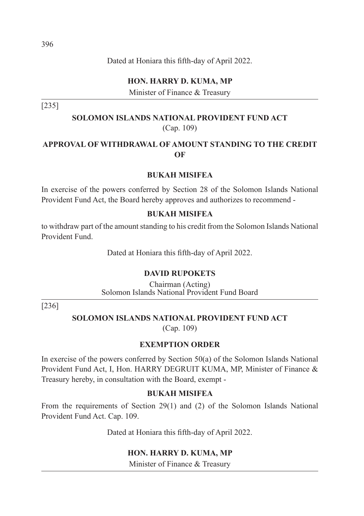## **HON. HARRY D. KUMA, MP**

Minister of Finance & Treasury

[235]

## **SOLOMON ISLANDS NATIONAL PROVIDENT FUND ACT**  (Cap. 109)

## **APPROVAL OF WITHDRAWAL OF AMOUNT STANDING TO THE CREDIT OF**

#### **BUKAH MISIFEA**

In exercise of the powers conferred by Section 28 of the Solomon Islands National Provident Fund Act, the Board hereby approves and authorizes to recommend -

#### **BUKAH MISIFEA**

to withdraw part of the amount standing to his credit from the Solomon Islands National Provident Fund.

Dated at Honiara this fifth-day of April 2022.

#### **DAVID RUPOKETS**

Chairman (Acting) Solomon Islands National Provident Fund Board

[236]

#### **SOLOMON ISLANDS NATIONAL PROVIDENT FUND ACT**

(Cap. 109)

#### **EXEMPTION ORDER**

In exercise of the powers conferred by Section 50(a) of the Solomon Islands National Provident Fund Act, I, Hon. HARRY DEGRUIT KUMA, MP, Minister of Finance & Treasury hereby, in consultation with the Board, exempt -

#### **BUKAH MISIFEA**

From the requirements of Section 29(1) and (2) of the Solomon Islands National Provident Fund Act. Cap. 109.

Dated at Honiara this fifth-day of April 2022.

#### **HON. HARRY D. KUMA, MP**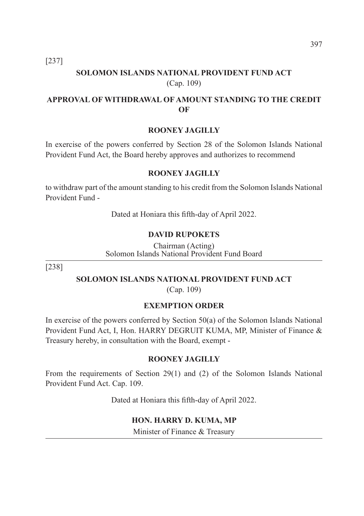[237]

## **SOLOMON ISLANDS NATIONAL PROVIDENT FUND ACT**  (Cap. 109)

## **APPROVAL OF WITHDRAWAL OF AMOUNT STANDING TO THE CREDIT OF**

#### **ROONEY JAGILLY**

In exercise of the powers conferred by Section 28 of the Solomon Islands National Provident Fund Act, the Board hereby approves and authorizes to recommend

#### **ROONEY JAGILLY**

to withdraw part of the amount standing to his credit from the Solomon Islands National Provident Fund -

Dated at Honiara this fifth-day of April 2022.

#### **DAVID RUPOKETS**

Chairman (Acting) Solomon Islands National Provident Fund Board

[238]

#### **SOLOMON ISLANDS NATIONAL PROVIDENT FUND ACT**

(Cap. 109)

#### **EXEMPTION ORDER**

In exercise of the powers conferred by Section 50(a) of the Solomon Islands National Provident Fund Act, I, Hon. HARRY DEGRUIT KUMA, MP, Minister of Finance & Treasury hereby, in consultation with the Board, exempt -

#### **ROONEY JAGILLY**

From the requirements of Section 29(1) and (2) of the Solomon Islands National Provident Fund Act. Cap. 109.

Dated at Honiara this fifth-day of April 2022.

#### **HON. HARRY D. KUMA, MP**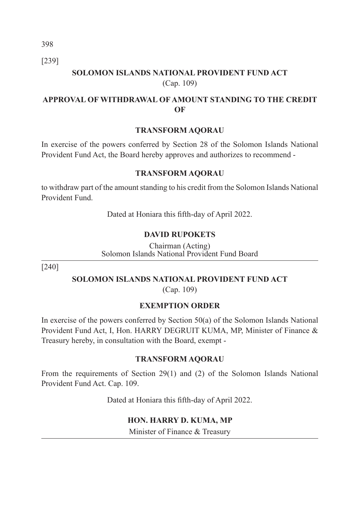398 [239]

## **SOLOMON ISLANDS NATIONAL PROVIDENT FUND ACT**  (Cap. 109)

## **APPROVAL OF WITHDRAWAL OF AMOUNT STANDING TO THE CREDIT OF**

## **TRANSFORM AQORAU**

In exercise of the powers conferred by Section 28 of the Solomon Islands National Provident Fund Act, the Board hereby approves and authorizes to recommend -

#### **TRANSFORM AQORAU**

to withdraw part of the amount standing to his credit from the Solomon Islands National Provident Fund.

Dated at Honiara this fifth-day of April 2022.

#### **DAVID RUPOKETS**

Chairman (Acting) Solomon Islands National Provident Fund Board

[240]

#### **SOLOMON ISLANDS NATIONAL PROVIDENT FUND ACT**

(Cap. 109)

#### **EXEMPTION ORDER**

In exercise of the powers conferred by Section 50(a) of the Solomon Islands National Provident Fund Act, I, Hon. HARRY DEGRUIT KUMA, MP, Minister of Finance & Treasury hereby, in consultation with the Board, exempt -

#### **TRANSFORM AQORAU**

From the requirements of Section 29(1) and (2) of the Solomon Islands National Provident Fund Act. Cap. 109.

Dated at Honiara this fifth-day of April 2022.

#### **HON. HARRY D. KUMA, MP**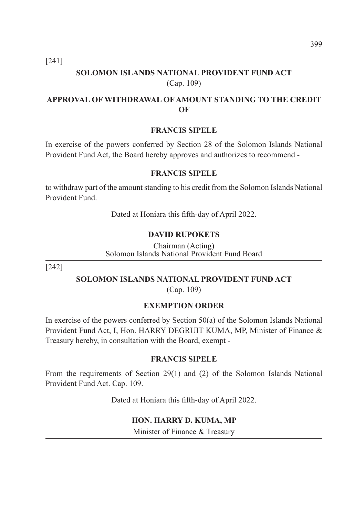[241]

## **SOLOMON ISLANDS NATIONAL PROVIDENT FUND ACT**  (Cap. 109)

## **APPROVAL OF WITHDRAWAL OF AMOUNT STANDING TO THE CREDIT OF**

#### **FRANCIS SIPELE**

In exercise of the powers conferred by Section 28 of the Solomon Islands National Provident Fund Act, the Board hereby approves and authorizes to recommend -

#### **FRANCIS SIPELE**

to withdraw part of the amount standing to his credit from the Solomon Islands National Provident Fund.

Dated at Honiara this fifth-day of April 2022.

#### **DAVID RUPOKETS**

Chairman (Acting) Solomon Islands National Provident Fund Board

[242]

#### **SOLOMON ISLANDS NATIONAL PROVIDENT FUND ACT**

(Cap. 109)

#### **EXEMPTION ORDER**

In exercise of the powers conferred by Section 50(a) of the Solomon Islands National Provident Fund Act, I, Hon. HARRY DEGRUIT KUMA, MP, Minister of Finance & Treasury hereby, in consultation with the Board, exempt -

## **FRANCIS SIPELE**

From the requirements of Section 29(1) and (2) of the Solomon Islands National Provident Fund Act. Cap. 109.

Dated at Honiara this fifth-day of April 2022.

#### **HON. HARRY D. KUMA, MP**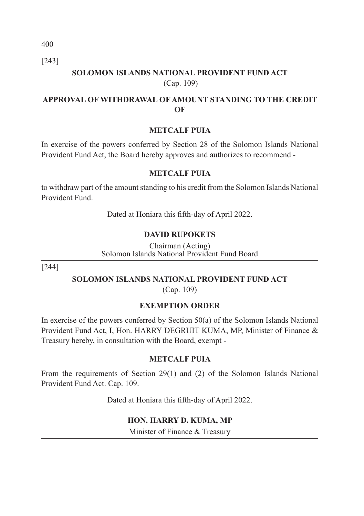400 [243]

## **SOLOMON ISLANDS NATIONAL PROVIDENT FUND ACT** (Cap. 109)

## **APPROVAL OF WITHDRAWAL OF AMOUNT STANDING TO THE CREDIT OF**

## **METCALF PUIA**

In exercise of the powers conferred by Section 28 of the Solomon Islands National Provident Fund Act, the Board hereby approves and authorizes to recommend -

#### **METCALF PUIA**

to withdraw part of the amount standing to his credit from the Solomon Islands National Provident Fund.

Dated at Honiara this fifth-day of April 2022.

#### **DAVID RUPOKETS**

Chairman (Acting) Solomon Islands National Provident Fund Board

[244]

#### **SOLOMON ISLANDS NATIONAL PROVIDENT FUND ACT**

(Cap. 109)

#### **EXEMPTION ORDER**

In exercise of the powers conferred by Section 50(a) of the Solomon Islands National Provident Fund Act, I, Hon. HARRY DEGRUIT KUMA, MP, Minister of Finance & Treasury hereby, in consultation with the Board, exempt -

#### **METCALF PUIA**

From the requirements of Section 29(1) and (2) of the Solomon Islands National Provident Fund Act. Cap. 109.

Dated at Honiara this fifth-day of April 2022.

#### **HON. HARRY D. KUMA, MP**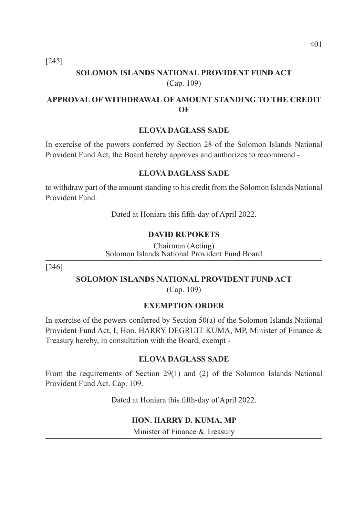[245]

## **SOLOMON ISLANDS NATIONAL PROVIDENT FUND ACT**  (Cap. 109)

## **APPROVAL OF WITHDRAWAL OF AMOUNT STANDING TO THE CREDIT OF**

#### **ELOVA DAGLASS SADE**

In exercise of the powers conferred by Section 28 of the Solomon Islands National Provident Fund Act, the Board hereby approves and authorizes to recommend -

#### **ELOVA DAGLASS SADE**

to withdraw part of the amount standing to his credit from the Solomon Islands National Provident Fund.

Dated at Honiara this fifth-day of April 2022.

#### **DAVID RUPOKETS**

Chairman (Acting) Solomon Islands National Provident Fund Board

[246]

#### **SOLOMON ISLANDS NATIONAL PROVIDENT FUND ACT**

(Cap. 109)

#### **EXEMPTION ORDER**

In exercise of the powers conferred by Section 50(a) of the Solomon Islands National Provident Fund Act, I, Hon. HARRY DEGRUIT KUMA, MP, Minister of Finance & Treasury hereby, in consultation with the Board, exempt -

#### **ELOVA DAGLASS SADE**

From the requirements of Section 29(1) and (2) of the Solomon Islands National Provident Fund Act. Cap. 109.

Dated at Honiara this fifth-day of April 2022.

#### **HON. HARRY D. KUMA, MP**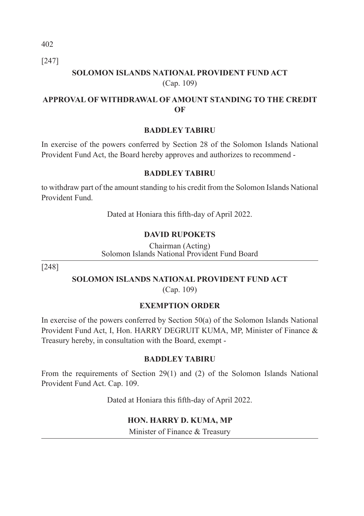[247]

## **SOLOMON ISLANDS NATIONAL PROVIDENT FUND ACT**  (Cap. 109)

## **APPROVAL OF WITHDRAWAL OF AMOUNT STANDING TO THE CREDIT OF**

#### **BADDLEY TABIRU**

In exercise of the powers conferred by Section 28 of the Solomon Islands National Provident Fund Act, the Board hereby approves and authorizes to recommend -

#### **BADDLEY TABIRU**

to withdraw part of the amount standing to his credit from the Solomon Islands National Provident Fund.

Dated at Honiara this fifth-day of April 2022.

#### **DAVID RUPOKETS**

Chairman (Acting) Solomon Islands National Provident Fund Board

[248]

#### **SOLOMON ISLANDS NATIONAL PROVIDENT FUND ACT**

(Cap. 109)

#### **EXEMPTION ORDER**

In exercise of the powers conferred by Section 50(a) of the Solomon Islands National Provident Fund Act, I, Hon. HARRY DEGRUIT KUMA, MP, Minister of Finance & Treasury hereby, in consultation with the Board, exempt -

#### **BADDLEY TABIRU**

From the requirements of Section 29(1) and (2) of the Solomon Islands National Provident Fund Act. Cap. 109.

Dated at Honiara this fifth-day of April 2022.

#### **HON. HARRY D. KUMA, MP**

Minister of Finance & Treasury

402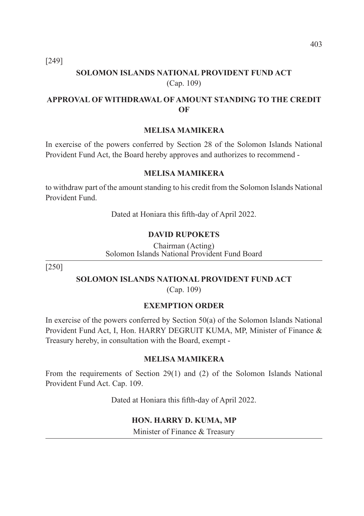[249]

## **SOLOMON ISLANDS NATIONAL PROVIDENT FUND ACT**  (Cap. 109)

## **APPROVAL OF WITHDRAWAL OF AMOUNT STANDING TO THE CREDIT OF**

#### **MELISA MAMIKERA**

In exercise of the powers conferred by Section 28 of the Solomon Islands National Provident Fund Act, the Board hereby approves and authorizes to recommend -

#### **MELISA MAMIKERA**

to withdraw part of the amount standing to his credit from the Solomon Islands National Provident Fund.

Dated at Honiara this fifth-day of April 2022.

#### **DAVID RUPOKETS**

Chairman (Acting) Solomon Islands National Provident Fund Board

[250]

#### **SOLOMON ISLANDS NATIONAL PROVIDENT FUND ACT**

(Cap. 109)

#### **EXEMPTION ORDER**

In exercise of the powers conferred by Section 50(a) of the Solomon Islands National Provident Fund Act, I, Hon. HARRY DEGRUIT KUMA, MP, Minister of Finance & Treasury hereby, in consultation with the Board, exempt -

#### **MELISA MAMIKERA**

From the requirements of Section 29(1) and (2) of the Solomon Islands National Provident Fund Act. Cap. 109.

Dated at Honiara this fifth-day of April 2022.

#### **HON. HARRY D. KUMA, MP**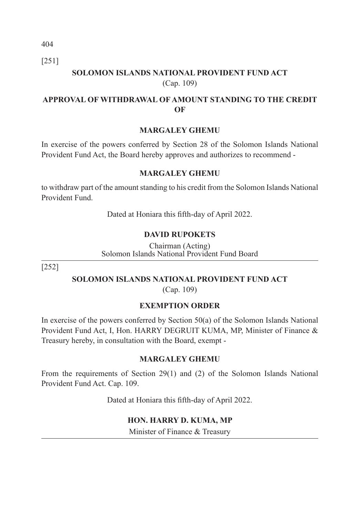404 [251]

## **SOLOMON ISLANDS NATIONAL PROVIDENT FUND ACT**  (Cap. 109)

## **APPROVAL OF WITHDRAWAL OF AMOUNT STANDING TO THE CREDIT OF**

## **MARGALEY GHEMU**

In exercise of the powers conferred by Section 28 of the Solomon Islands National Provident Fund Act, the Board hereby approves and authorizes to recommend -

#### **MARGALEY GHEMU**

to withdraw part of the amount standing to his credit from the Solomon Islands National Provident Fund.

Dated at Honiara this fifth-day of April 2022.

## **DAVID RUPOKETS**

Chairman (Acting) Solomon Islands National Provident Fund Board

[252]

## **SOLOMON ISLANDS NATIONAL PROVIDENT FUND ACT**

(Cap. 109)

## **EXEMPTION ORDER**

In exercise of the powers conferred by Section 50(a) of the Solomon Islands National Provident Fund Act, I, Hon. HARRY DEGRUIT KUMA, MP, Minister of Finance & Treasury hereby, in consultation with the Board, exempt -

#### **MARGALEY GHEMU**

From the requirements of Section 29(1) and (2) of the Solomon Islands National Provident Fund Act. Cap. 109.

Dated at Honiara this fifth-day of April 2022.

## **HON. HARRY D. KUMA, MP**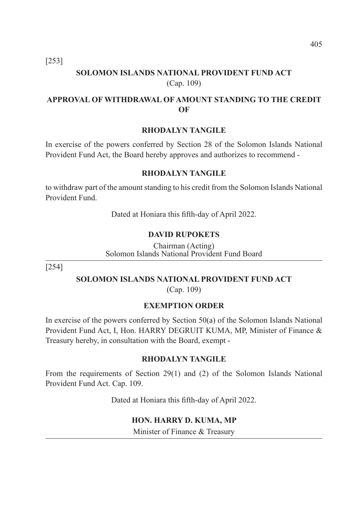[253]

## **SOLOMON ISLANDS NATIONAL PROVIDENT FUND ACT**  (Cap. 109)

## **APPROVAL OF WITHDRAWAL OF AMOUNT STANDING TO THE CREDIT OF**

#### **RHODALYN TANGILE**

In exercise of the powers conferred by Section 28 of the Solomon Islands National Provident Fund Act, the Board hereby approves and authorizes to recommend -

#### **RHODALYN TANGILE**

to withdraw part of the amount standing to his credit from the Solomon Islands National Provident Fund.

Dated at Honiara this fifth-day of April 2022.

#### **DAVID RUPOKETS**

Chairman (Acting) Solomon Islands National Provident Fund Board

[254]

#### **SOLOMON ISLANDS NATIONAL PROVIDENT FUND ACT**

(Cap. 109)

#### **EXEMPTION ORDER**

In exercise of the powers conferred by Section 50(a) of the Solomon Islands National Provident Fund Act, I, Hon. HARRY DEGRUIT KUMA, MP, Minister of Finance & Treasury hereby, in consultation with the Board, exempt -

#### **RHODALYN TANGILE**

From the requirements of Section 29(1) and (2) of the Solomon Islands National Provident Fund Act. Cap. 109.

Dated at Honiara this fifth-day of April 2022.

#### **HON. HARRY D. KUMA, MP**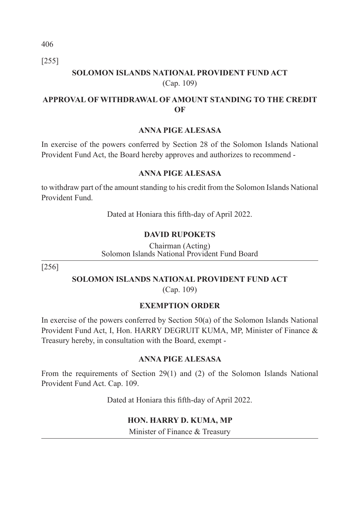406 [255]

## **SOLOMON ISLANDS NATIONAL PROVIDENT FUND ACT**  (Cap. 109)

## **APPROVAL OF WITHDRAWAL OF AMOUNT STANDING TO THE CREDIT OF**

## **ANNA PIGE ALESASA**

In exercise of the powers conferred by Section 28 of the Solomon Islands National Provident Fund Act, the Board hereby approves and authorizes to recommend -

#### **ANNA PIGE ALESASA**

to withdraw part of the amount standing to his credit from the Solomon Islands National Provident Fund.

Dated at Honiara this fifth-day of April 2022.

## **DAVID RUPOKETS**

Chairman (Acting) Solomon Islands National Provident Fund Board

[256]

## **SOLOMON ISLANDS NATIONAL PROVIDENT FUND ACT**

(Cap. 109)

## **EXEMPTION ORDER**

In exercise of the powers conferred by Section 50(a) of the Solomon Islands National Provident Fund Act, I, Hon. HARRY DEGRUIT KUMA, MP, Minister of Finance & Treasury hereby, in consultation with the Board, exempt -

#### **ANNA PIGE ALESASA**

From the requirements of Section 29(1) and (2) of the Solomon Islands National Provident Fund Act. Cap. 109.

Dated at Honiara this fifth-day of April 2022.

## **HON. HARRY D. KUMA, MP**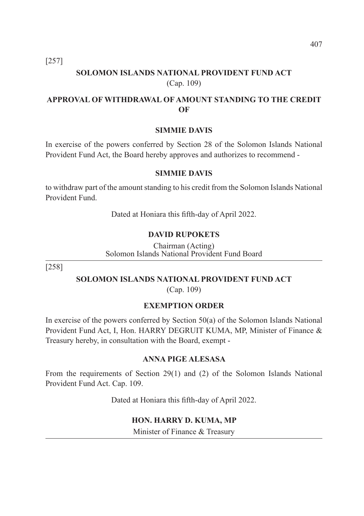[257]

## **SOLOMON ISLANDS NATIONAL PROVIDENT FUND ACT**  (Cap. 109)

## **APPROVAL OF WITHDRAWAL OF AMOUNT STANDING TO THE CREDIT OF**

#### **SIMMIE DAVIS**

In exercise of the powers conferred by Section 28 of the Solomon Islands National Provident Fund Act, the Board hereby approves and authorizes to recommend -

#### **SIMMIE DAVIS**

to withdraw part of the amount standing to his credit from the Solomon Islands National Provident Fund.

Dated at Honiara this fifth-day of April 2022.

#### **DAVID RUPOKETS**

Chairman (Acting) Solomon Islands National Provident Fund Board

[258]

#### **SOLOMON ISLANDS NATIONAL PROVIDENT FUND ACT**

(Cap. 109)

#### **EXEMPTION ORDER**

In exercise of the powers conferred by Section 50(a) of the Solomon Islands National Provident Fund Act, I, Hon. HARRY DEGRUIT KUMA, MP, Minister of Finance & Treasury hereby, in consultation with the Board, exempt -

## **ANNA PIGE ALESASA**

From the requirements of Section 29(1) and (2) of the Solomon Islands National Provident Fund Act. Cap. 109.

Dated at Honiara this fifth-day of April 2022.

#### **HON. HARRY D. KUMA, MP**

Minister of Finance & Treasury

407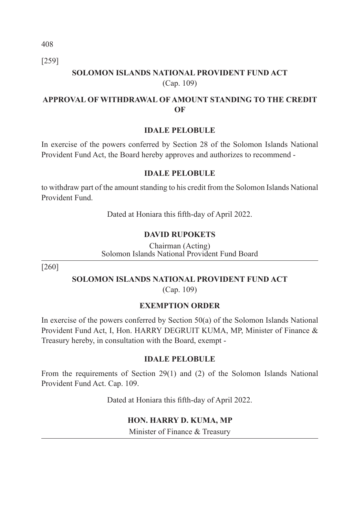408 [259]

## **SOLOMON ISLANDS NATIONAL PROVIDENT FUND ACT**  (Cap. 109)

## **APPROVAL OF WITHDRAWAL OF AMOUNT STANDING TO THE CREDIT OF**

## **IDALE PELOBULE**

In exercise of the powers conferred by Section 28 of the Solomon Islands National Provident Fund Act, the Board hereby approves and authorizes to recommend -

#### **IDALE PELOBULE**

to withdraw part of the amount standing to his credit from the Solomon Islands National Provident Fund.

Dated at Honiara this fifth-day of April 2022.

#### **DAVID RUPOKETS**

Chairman (Acting) Solomon Islands National Provident Fund Board

[260]

#### **SOLOMON ISLANDS NATIONAL PROVIDENT FUND ACT**

(Cap. 109)

#### **EXEMPTION ORDER**

In exercise of the powers conferred by Section 50(a) of the Solomon Islands National Provident Fund Act, I, Hon. HARRY DEGRUIT KUMA, MP, Minister of Finance & Treasury hereby, in consultation with the Board, exempt -

#### **IDALE PELOBULE**

From the requirements of Section 29(1) and (2) of the Solomon Islands National Provident Fund Act. Cap. 109.

Dated at Honiara this fifth-day of April 2022.

#### **HON. HARRY D. KUMA, MP**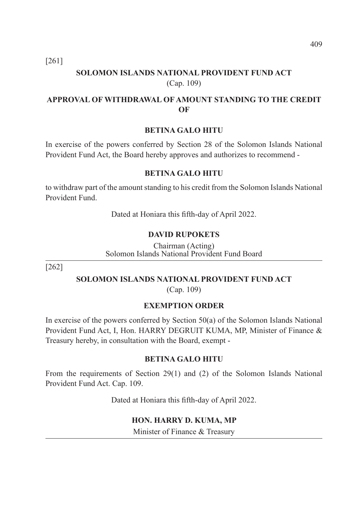[261]

## **SOLOMON ISLANDS NATIONAL PROVIDENT FUND ACT**  (Cap. 109)

## **APPROVAL OF WITHDRAWAL OF AMOUNT STANDING TO THE CREDIT OF**

#### **BETINA GALO HITU**

In exercise of the powers conferred by Section 28 of the Solomon Islands National Provident Fund Act, the Board hereby approves and authorizes to recommend -

#### **BETINA GALO HITU**

to withdraw part of the amount standing to his credit from the Solomon Islands National Provident Fund.

Dated at Honiara this fifth-day of April 2022.

#### **DAVID RUPOKETS**

Chairman (Acting) Solomon Islands National Provident Fund Board

[262]

#### **SOLOMON ISLANDS NATIONAL PROVIDENT FUND ACT**

(Cap. 109)

#### **EXEMPTION ORDER**

In exercise of the powers conferred by Section 50(a) of the Solomon Islands National Provident Fund Act, I, Hon. HARRY DEGRUIT KUMA, MP, Minister of Finance & Treasury hereby, in consultation with the Board, exempt -

#### **BETINA GALO HITU**

From the requirements of Section 29(1) and (2) of the Solomon Islands National Provident Fund Act. Cap. 109.

Dated at Honiara this fifth-day of April 2022.

#### **HON. HARRY D. KUMA, MP**

Minister of Finance & Treasury

409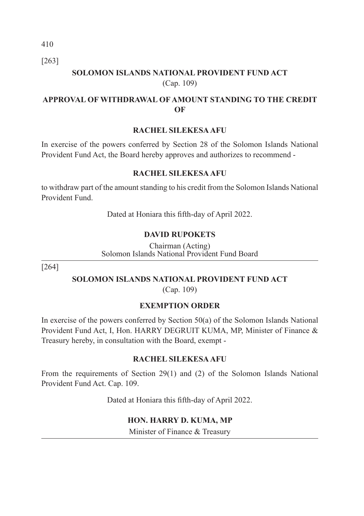410 [263]

## **SOLOMON ISLANDS NATIONAL PROVIDENT FUND ACT**  (Cap. 109)

## **APPROVAL OF WITHDRAWAL OF AMOUNT STANDING TO THE CREDIT OF**

## **RACHEL SILEKESA AFU**

In exercise of the powers conferred by Section 28 of the Solomon Islands National Provident Fund Act, the Board hereby approves and authorizes to recommend -

#### **RACHEL SILEKESA AFU**

to withdraw part of the amount standing to his credit from the Solomon Islands National Provident Fund.

Dated at Honiara this fifth-day of April 2022.

#### **DAVID RUPOKETS**

Chairman (Acting) Solomon Islands National Provident Fund Board

[264]

#### **SOLOMON ISLANDS NATIONAL PROVIDENT FUND ACT**

(Cap. 109)

#### **EXEMPTION ORDER**

In exercise of the powers conferred by Section 50(a) of the Solomon Islands National Provident Fund Act, I, Hon. HARRY DEGRUIT KUMA, MP, Minister of Finance & Treasury hereby, in consultation with the Board, exempt -

## **RACHEL SILEKESA AFU**

From the requirements of Section 29(1) and (2) of the Solomon Islands National Provident Fund Act. Cap. 109.

Dated at Honiara this fifth-day of April 2022.

#### **HON. HARRY D. KUMA, MP**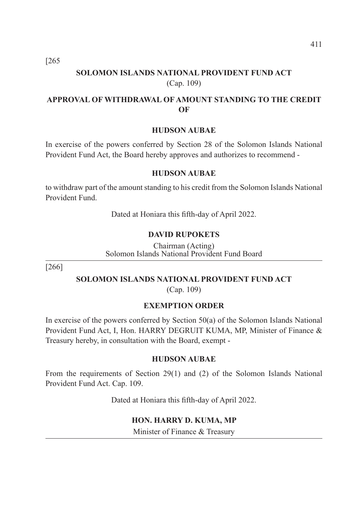[265

## **SOLOMON ISLANDS NATIONAL PROVIDENT FUND ACT**  (Cap. 109)

## **APPROVAL OF WITHDRAWAL OF AMOUNT STANDING TO THE CREDIT OF**

#### **HUDSON AUBAE**

In exercise of the powers conferred by Section 28 of the Solomon Islands National Provident Fund Act, the Board hereby approves and authorizes to recommend -

#### **HUDSON AUBAE**

to withdraw part of the amount standing to his credit from the Solomon Islands National Provident Fund.

Dated at Honiara this fifth-day of April 2022.

#### **DAVID RUPOKETS**

Chairman (Acting) Solomon Islands National Provident Fund Board

[266]

#### **SOLOMON ISLANDS NATIONAL PROVIDENT FUND ACT**

(Cap. 109)

#### **EXEMPTION ORDER**

In exercise of the powers conferred by Section 50(a) of the Solomon Islands National Provident Fund Act, I, Hon. HARRY DEGRUIT KUMA, MP, Minister of Finance & Treasury hereby, in consultation with the Board, exempt -

#### **HUDSON AUBAE**

From the requirements of Section 29(1) and (2) of the Solomon Islands National Provident Fund Act. Cap. 109.

Dated at Honiara this fifth-day of April 2022.

#### **HON. HARRY D. KUMA, MP**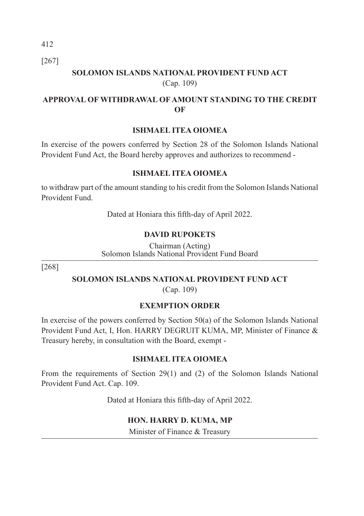[267]

## **SOLOMON ISLANDS NATIONAL PROVIDENT FUND ACT**  (Cap. 109)

## **APPROVAL OF WITHDRAWAL OF AMOUNT STANDING TO THE CREDIT OF**

## **ISHMAEL ITEA OIOMEA**

In exercise of the powers conferred by Section 28 of the Solomon Islands National Provident Fund Act, the Board hereby approves and authorizes to recommend -

#### **ISHMAEL ITEA OIOMEA**

to withdraw part of the amount standing to his credit from the Solomon Islands National Provident Fund.

Dated at Honiara this fifth-day of April 2022.

#### **DAVID RUPOKETS**

Chairman (Acting) Solomon Islands National Provident Fund Board

[268]

#### **SOLOMON ISLANDS NATIONAL PROVIDENT FUND ACT**

(Cap. 109)

#### **EXEMPTION ORDER**

In exercise of the powers conferred by Section 50(a) of the Solomon Islands National Provident Fund Act, I, Hon. HARRY DEGRUIT KUMA, MP, Minister of Finance & Treasury hereby, in consultation with the Board, exempt -

## **ISHMAEL ITEA OIOMEA**

From the requirements of Section 29(1) and (2) of the Solomon Islands National Provident Fund Act. Cap. 109.

Dated at Honiara this fifth-day of April 2022.

#### **HON. HARRY D. KUMA, MP**

Minister of Finance & Treasury

412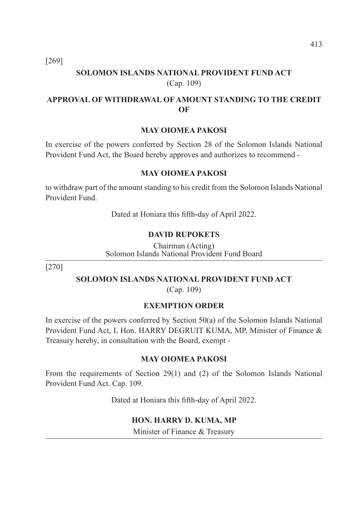[269]

## **SOLOMON ISLANDS NATIONAL PROVIDENT FUND ACT**  (Cap. 109)

## **APPROVAL OF WITHDRAWAL OF AMOUNT STANDING TO THE CREDIT OF**

#### **MAY OIOMEA PAKOSI**

In exercise of the powers conferred by Section 28 of the Solomon Islands National Provident Fund Act, the Board hereby approves and authorizes to recommend -

#### **MAY OIOMEA PAKOSI**

to withdraw part of the amount standing to his credit from the Solomon Islands National Provident Fund.

Dated at Honiara this fifth-day of April 2022.

#### **DAVID RUPOKETS**

Chairman (Acting) Solomon Islands National Provident Fund Board

[270]

#### **SOLOMON ISLANDS NATIONAL PROVIDENT FUND ACT**

(Cap. 109)

#### **EXEMPTION ORDER**

In exercise of the powers conferred by Section 50(a) of the Solomon Islands National Provident Fund Act, I, Hon. HARRY DEGRUIT KUMA, MP, Minister of Finance & Treasury hereby, in consultation with the Board, exempt -

## **MAY OIOMEA PAKOSI**

From the requirements of Section 29(1) and (2) of the Solomon Islands National Provident Fund Act. Cap. 109.

Dated at Honiara this fifth-day of April 2022.

#### **HON. HARRY D. KUMA, MP**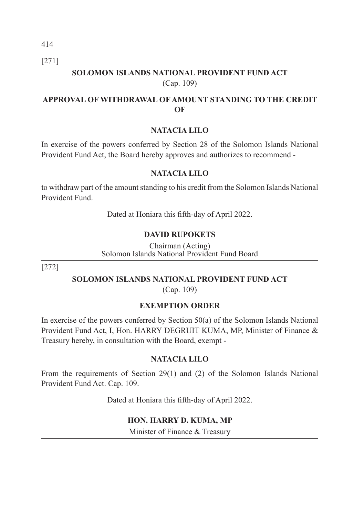414 [271]

> **SOLOMON ISLANDS NATIONAL PROVIDENT FUND ACT**  (Cap. 109)

## **APPROVAL OF WITHDRAWAL OF AMOUNT STANDING TO THE CREDIT OF**

## **NATACIA LILO**

In exercise of the powers conferred by Section 28 of the Solomon Islands National Provident Fund Act, the Board hereby approves and authorizes to recommend -

#### **NATACIA LILO**

to withdraw part of the amount standing to his credit from the Solomon Islands National Provident Fund.

Dated at Honiara this fifth-day of April 2022.

#### **DAVID RUPOKETS**

Chairman (Acting) Solomon Islands National Provident Fund Board

[272]

#### **SOLOMON ISLANDS NATIONAL PROVIDENT FUND ACT**

(Cap. 109)

#### **EXEMPTION ORDER**

In exercise of the powers conferred by Section 50(a) of the Solomon Islands National Provident Fund Act, I, Hon. HARRY DEGRUIT KUMA, MP, Minister of Finance & Treasury hereby, in consultation with the Board, exempt -

## **NATACIA LILO**

From the requirements of Section 29(1) and (2) of the Solomon Islands National Provident Fund Act. Cap. 109.

Dated at Honiara this fifth-day of April 2022.

#### **HON. HARRY D. KUMA, MP**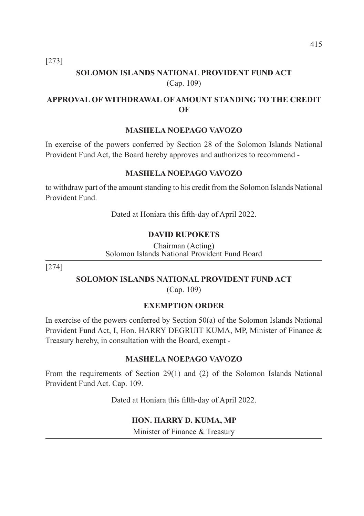[273]

## **SOLOMON ISLANDS NATIONAL PROVIDENT FUND ACT**  (Cap. 109)

## **APPROVAL OF WITHDRAWAL OF AMOUNT STANDING TO THE CREDIT OF**

#### **MASHELA NOEPAGO VAVOZO**

In exercise of the powers conferred by Section 28 of the Solomon Islands National Provident Fund Act, the Board hereby approves and authorizes to recommend -

#### **MASHELA NOEPAGO VAVOZO**

to withdraw part of the amount standing to his credit from the Solomon Islands National Provident Fund.

Dated at Honiara this fifth-day of April 2022.

#### **DAVID RUPOKETS**

Chairman (Acting) Solomon Islands National Provident Fund Board

[274]

## **SOLOMON ISLANDS NATIONAL PROVIDENT FUND ACT**

(Cap. 109)

#### **EXEMPTION ORDER**

In exercise of the powers conferred by Section 50(a) of the Solomon Islands National Provident Fund Act, I, Hon. HARRY DEGRUIT KUMA, MP, Minister of Finance & Treasury hereby, in consultation with the Board, exempt -

#### **MASHELA NOEPAGO VAVOZO**

From the requirements of Section 29(1) and (2) of the Solomon Islands National Provident Fund Act. Cap. 109.

Dated at Honiara this fifth-day of April 2022.

#### **HON. HARRY D. KUMA, MP**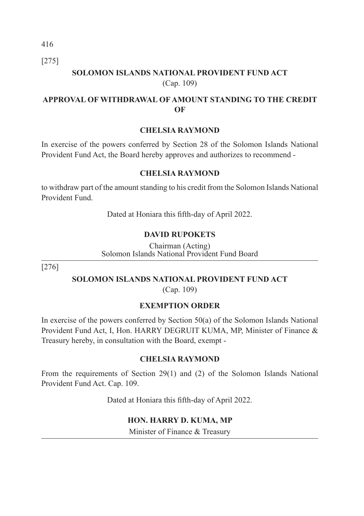416 [275]

## **SOLOMON ISLANDS NATIONAL PROVIDENT FUND ACT**  (Cap. 109)

## **APPROVAL OF WITHDRAWAL OF AMOUNT STANDING TO THE CREDIT OF**

## **CHELSIA RAYMOND**

In exercise of the powers conferred by Section 28 of the Solomon Islands National Provident Fund Act, the Board hereby approves and authorizes to recommend -

#### **CHELSIA RAYMOND**

to withdraw part of the amount standing to his credit from the Solomon Islands National Provident Fund.

Dated at Honiara this fifth-day of April 2022.

## **DAVID RUPOKETS**

Chairman (Acting) Solomon Islands National Provident Fund Board

[276]

## **SOLOMON ISLANDS NATIONAL PROVIDENT FUND ACT**

(Cap. 109)

## **EXEMPTION ORDER**

In exercise of the powers conferred by Section 50(a) of the Solomon Islands National Provident Fund Act, I, Hon. HARRY DEGRUIT KUMA, MP, Minister of Finance & Treasury hereby, in consultation with the Board, exempt -

## **CHELSIA RAYMOND**

From the requirements of Section 29(1) and (2) of the Solomon Islands National Provident Fund Act. Cap. 109.

Dated at Honiara this fifth-day of April 2022.

## **HON. HARRY D. KUMA, MP**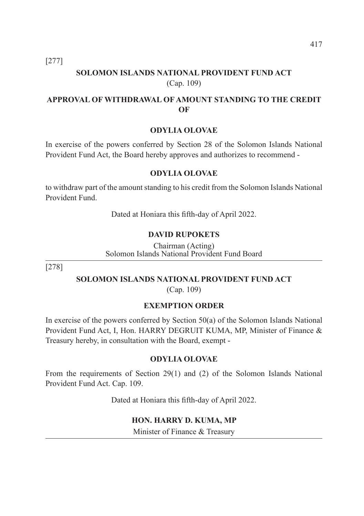[277]

## **SOLOMON ISLANDS NATIONAL PROVIDENT FUND ACT**  (Cap. 109)

## **APPROVAL OF WITHDRAWAL OF AMOUNT STANDING TO THE CREDIT OF**

#### **ODYLIA OLOVAE**

In exercise of the powers conferred by Section 28 of the Solomon Islands National Provident Fund Act, the Board hereby approves and authorizes to recommend -

#### **ODYLIA OLOVAE**

to withdraw part of the amount standing to his credit from the Solomon Islands National Provident Fund.

Dated at Honiara this fifth-day of April 2022.

#### **DAVID RUPOKETS**

Chairman (Acting) Solomon Islands National Provident Fund Board

[278]

#### **SOLOMON ISLANDS NATIONAL PROVIDENT FUND ACT**

(Cap. 109)

#### **EXEMPTION ORDER**

In exercise of the powers conferred by Section 50(a) of the Solomon Islands National Provident Fund Act, I, Hon. HARRY DEGRUIT KUMA, MP, Minister of Finance & Treasury hereby, in consultation with the Board, exempt -

#### **ODYLIA OLOVAE**

From the requirements of Section 29(1) and (2) of the Solomon Islands National Provident Fund Act. Cap. 109.

Dated at Honiara this fifth-day of April 2022.

#### **HON. HARRY D. KUMA, MP**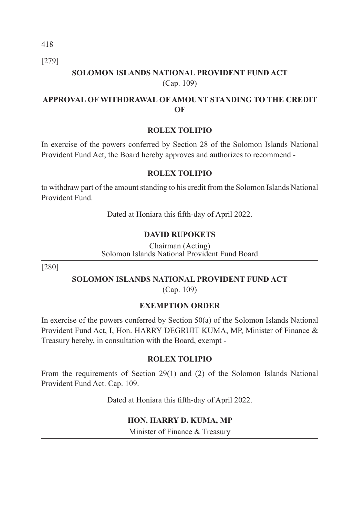418 [279]

## **SOLOMON ISLANDS NATIONAL PROVIDENT FUND ACT**  (Cap. 109)

## **APPROVAL OF WITHDRAWAL OF AMOUNT STANDING TO THE CREDIT OF**

## **ROLEX TOLIPIO**

In exercise of the powers conferred by Section 28 of the Solomon Islands National Provident Fund Act, the Board hereby approves and authorizes to recommend -

#### **ROLEX TOLIPIO**

to withdraw part of the amount standing to his credit from the Solomon Islands National Provident Fund.

Dated at Honiara this fifth-day of April 2022.

#### **DAVID RUPOKETS**

Chairman (Acting) Solomon Islands National Provident Fund Board

[280]

#### **SOLOMON ISLANDS NATIONAL PROVIDENT FUND ACT**

(Cap. 109)

#### **EXEMPTION ORDER**

In exercise of the powers conferred by Section 50(a) of the Solomon Islands National Provident Fund Act, I, Hon. HARRY DEGRUIT KUMA, MP, Minister of Finance & Treasury hereby, in consultation with the Board, exempt -

#### **ROLEX TOLIPIO**

From the requirements of Section 29(1) and (2) of the Solomon Islands National Provident Fund Act. Cap. 109.

Dated at Honiara this fifth-day of April 2022.

#### **HON. HARRY D. KUMA, MP**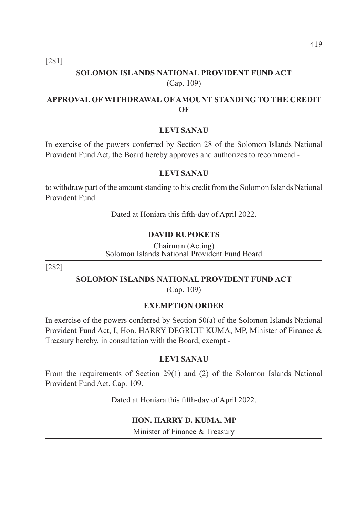[281]

## **SOLOMON ISLANDS NATIONAL PROVIDENT FUND ACT**  (Cap. 109)

## **APPROVAL OF WITHDRAWAL OF AMOUNT STANDING TO THE CREDIT OF**

#### **LEVI SANAU**

In exercise of the powers conferred by Section 28 of the Solomon Islands National Provident Fund Act, the Board hereby approves and authorizes to recommend -

#### **LEVI SANAU**

to withdraw part of the amount standing to his credit from the Solomon Islands National Provident Fund.

Dated at Honiara this fifth-day of April 2022.

#### **DAVID RUPOKETS**

Chairman (Acting) Solomon Islands National Provident Fund Board

[282]

#### **SOLOMON ISLANDS NATIONAL PROVIDENT FUND ACT**

(Cap. 109)

#### **EXEMPTION ORDER**

In exercise of the powers conferred by Section 50(a) of the Solomon Islands National Provident Fund Act, I, Hon. HARRY DEGRUIT KUMA, MP, Minister of Finance & Treasury hereby, in consultation with the Board, exempt -

#### **LEVI SANAU**

From the requirements of Section 29(1) and (2) of the Solomon Islands National Provident Fund Act. Cap. 109.

Dated at Honiara this fifth-day of April 2022.

#### **HON. HARRY D. KUMA, MP**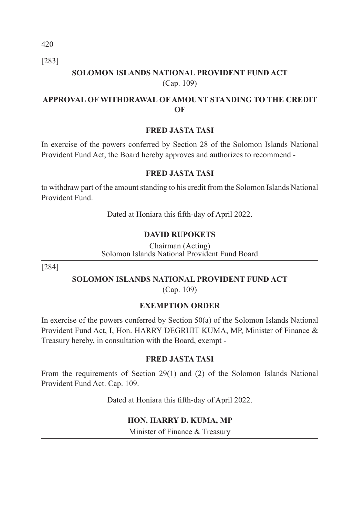[283]

## **SOLOMON ISLANDS NATIONAL PROVIDENT FUND ACT**  (Cap. 109)

## **APPROVAL OF WITHDRAWAL OF AMOUNT STANDING TO THE CREDIT OF**

## **FRED JASTA TASI**

In exercise of the powers conferred by Section 28 of the Solomon Islands National Provident Fund Act, the Board hereby approves and authorizes to recommend -

#### **FRED JASTA TASI**

to withdraw part of the amount standing to his credit from the Solomon Islands National Provident Fund.

Dated at Honiara this fifth-day of April 2022.

#### **DAVID RUPOKETS**

Chairman (Acting) Solomon Islands National Provident Fund Board

[284]

#### **SOLOMON ISLANDS NATIONAL PROVIDENT FUND ACT**

(Cap. 109)

#### **EXEMPTION ORDER**

In exercise of the powers conferred by Section 50(a) of the Solomon Islands National Provident Fund Act, I, Hon. HARRY DEGRUIT KUMA, MP, Minister of Finance & Treasury hereby, in consultation with the Board, exempt -

#### **FRED JASTA TASI**

From the requirements of Section 29(1) and (2) of the Solomon Islands National Provident Fund Act. Cap. 109.

Dated at Honiara this fifth-day of April 2022.

#### **HON. HARRY D. KUMA, MP**

Minister of Finance & Treasury

420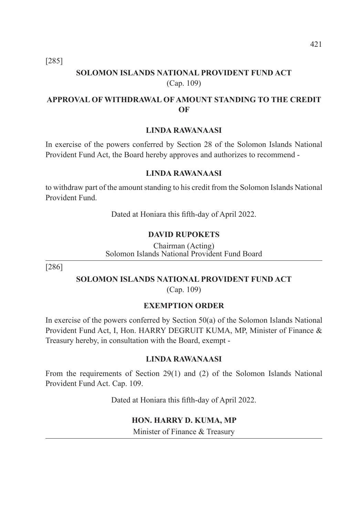[285]

## **SOLOMON ISLANDS NATIONAL PROVIDENT FUND ACT**  (Cap. 109)

## **APPROVAL OF WITHDRAWAL OF AMOUNT STANDING TO THE CREDIT OF**

#### **LINDA RAWANAASI**

In exercise of the powers conferred by Section 28 of the Solomon Islands National Provident Fund Act, the Board hereby approves and authorizes to recommend -

#### **LINDA RAWANAASI**

to withdraw part of the amount standing to his credit from the Solomon Islands National Provident Fund.

Dated at Honiara this fifth-day of April 2022.

#### **DAVID RUPOKETS**

Chairman (Acting) Solomon Islands National Provident Fund Board

[286]

#### **SOLOMON ISLANDS NATIONAL PROVIDENT FUND ACT**

(Cap. 109)

#### **EXEMPTION ORDER**

In exercise of the powers conferred by Section 50(a) of the Solomon Islands National Provident Fund Act, I, Hon. HARRY DEGRUIT KUMA, MP, Minister of Finance & Treasury hereby, in consultation with the Board, exempt -

#### **LINDA RAWANAASI**

From the requirements of Section 29(1) and (2) of the Solomon Islands National Provident Fund Act. Cap. 109.

Dated at Honiara this fifth-day of April 2022.

#### **HON. HARRY D. KUMA, MP**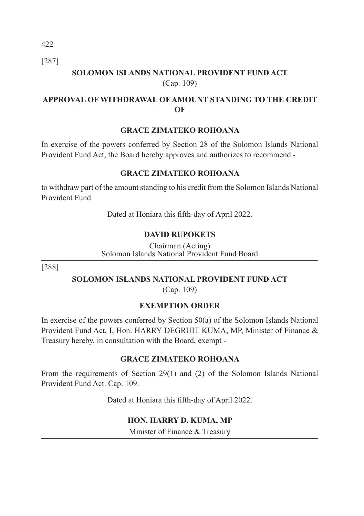422 [287]

## **SOLOMON ISLANDS NATIONAL PROVIDENT FUND ACT**  (Cap. 109)

## **APPROVAL OF WITHDRAWAL OF AMOUNT STANDING TO THE CREDIT OF**

#### **GRACE ZIMATEKO ROHOANA**

In exercise of the powers conferred by Section 28 of the Solomon Islands National Provident Fund Act, the Board hereby approves and authorizes to recommend -

#### **GRACE ZIMATEKO ROHOANA**

to withdraw part of the amount standing to his credit from the Solomon Islands National Provident Fund.

Dated at Honiara this fifth-day of April 2022.

## **DAVID RUPOKETS**

Chairman (Acting) Solomon Islands National Provident Fund Board

[288]

## **SOLOMON ISLANDS NATIONAL PROVIDENT FUND ACT**

(Cap. 109)

## **EXEMPTION ORDER**

In exercise of the powers conferred by Section 50(a) of the Solomon Islands National Provident Fund Act, I, Hon. HARRY DEGRUIT KUMA, MP, Minister of Finance & Treasury hereby, in consultation with the Board, exempt -

## **GRACE ZIMATEKO ROHOANA**

From the requirements of Section 29(1) and (2) of the Solomon Islands National Provident Fund Act. Cap. 109.

Dated at Honiara this fifth-day of April 2022.

#### **HON. HARRY D. KUMA, MP**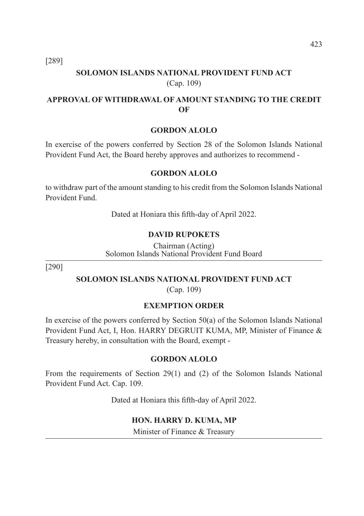[289]

## **SOLOMON ISLANDS NATIONAL PROVIDENT FUND ACT**  (Cap. 109)

## **APPROVAL OF WITHDRAWAL OF AMOUNT STANDING TO THE CREDIT OF**

#### **GORDON ALOLO**

In exercise of the powers conferred by Section 28 of the Solomon Islands National Provident Fund Act, the Board hereby approves and authorizes to recommend -

#### **GORDON ALOLO**

to withdraw part of the amount standing to his credit from the Solomon Islands National Provident Fund.

Dated at Honiara this fifth-day of April 2022.

#### **DAVID RUPOKETS**

Chairman (Acting) Solomon Islands National Provident Fund Board

[290]

#### **SOLOMON ISLANDS NATIONAL PROVIDENT FUND ACT**

(Cap. 109)

#### **EXEMPTION ORDER**

In exercise of the powers conferred by Section 50(a) of the Solomon Islands National Provident Fund Act, I, Hon. HARRY DEGRUIT KUMA, MP, Minister of Finance & Treasury hereby, in consultation with the Board, exempt -

#### **GORDON ALOLO**

From the requirements of Section 29(1) and (2) of the Solomon Islands National Provident Fund Act. Cap. 109.

Dated at Honiara this fifth-day of April 2022.

#### **HON. HARRY D. KUMA, MP**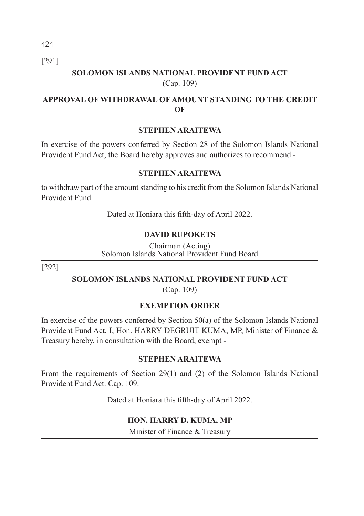[291]

## **SOLOMON ISLANDS NATIONAL PROVIDENT FUND ACT**  (Cap. 109)

## **APPROVAL OF WITHDRAWAL OF AMOUNT STANDING TO THE CREDIT OF**

## **STEPHEN ARAITEWA**

In exercise of the powers conferred by Section 28 of the Solomon Islands National Provident Fund Act, the Board hereby approves and authorizes to recommend -

#### **STEPHEN ARAITEWA**

to withdraw part of the amount standing to his credit from the Solomon Islands National Provident Fund.

Dated at Honiara this fifth-day of April 2022.

#### **DAVID RUPOKETS**

Chairman (Acting) Solomon Islands National Provident Fund Board

[292]

#### **SOLOMON ISLANDS NATIONAL PROVIDENT FUND ACT**

(Cap. 109)

#### **EXEMPTION ORDER**

In exercise of the powers conferred by Section 50(a) of the Solomon Islands National Provident Fund Act, I, Hon. HARRY DEGRUIT KUMA, MP, Minister of Finance & Treasury hereby, in consultation with the Board, exempt -

#### **STEPHEN ARAITEWA**

From the requirements of Section 29(1) and (2) of the Solomon Islands National Provident Fund Act. Cap. 109.

Dated at Honiara this fifth-day of April 2022.

#### **HON. HARRY D. KUMA, MP**

Minister of Finance & Treasury

424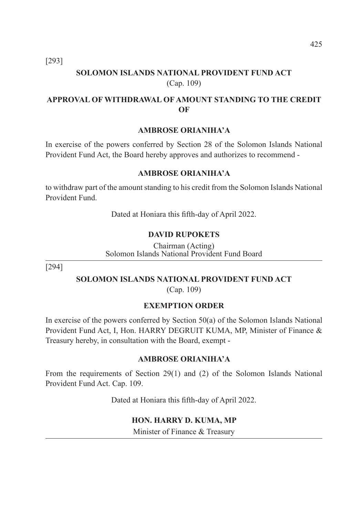[293]

## **SOLOMON ISLANDS NATIONAL PROVIDENT FUND ACT**  (Cap. 109)

## **APPROVAL OF WITHDRAWAL OF AMOUNT STANDING TO THE CREDIT OF**

#### **AMBROSE ORIANIHA'A**

In exercise of the powers conferred by Section 28 of the Solomon Islands National Provident Fund Act, the Board hereby approves and authorizes to recommend -

#### **AMBROSE ORIANIHA'A**

to withdraw part of the amount standing to his credit from the Solomon Islands National Provident Fund.

Dated at Honiara this fifth-day of April 2022.

#### **DAVID RUPOKETS**

Chairman (Acting) Solomon Islands National Provident Fund Board

[294]

## **SOLOMON ISLANDS NATIONAL PROVIDENT FUND ACT**

(Cap. 109)

#### **EXEMPTION ORDER**

In exercise of the powers conferred by Section 50(a) of the Solomon Islands National Provident Fund Act, I, Hon. HARRY DEGRUIT KUMA, MP, Minister of Finance & Treasury hereby, in consultation with the Board, exempt -

#### **AMBROSE ORIANIHA'A**

From the requirements of Section 29(1) and (2) of the Solomon Islands National Provident Fund Act. Cap. 109.

Dated at Honiara this fifth-day of April 2022.

#### **HON. HARRY D. KUMA, MP**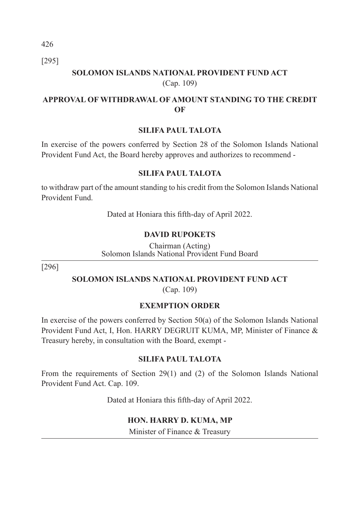[295]

## **SOLOMON ISLANDS NATIONAL PROVIDENT FUND ACT**  (Cap. 109)

## **APPROVAL OF WITHDRAWAL OF AMOUNT STANDING TO THE CREDIT OF**

## **SILIFA PAUL TALOTA**

In exercise of the powers conferred by Section 28 of the Solomon Islands National Provident Fund Act, the Board hereby approves and authorizes to recommend -

#### **SILIFA PAUL TALOTA**

to withdraw part of the amount standing to his credit from the Solomon Islands National Provident Fund.

Dated at Honiara this fifth-day of April 2022.

#### **DAVID RUPOKETS**

Chairman (Acting) Solomon Islands National Provident Fund Board

[296]

#### **SOLOMON ISLANDS NATIONAL PROVIDENT FUND ACT**

(Cap. 109)

#### **EXEMPTION ORDER**

In exercise of the powers conferred by Section 50(a) of the Solomon Islands National Provident Fund Act, I, Hon. HARRY DEGRUIT KUMA, MP, Minister of Finance & Treasury hereby, in consultation with the Board, exempt -

#### **SILIFA PAUL TALOTA**

From the requirements of Section 29(1) and (2) of the Solomon Islands National Provident Fund Act. Cap. 109.

Dated at Honiara this fifth-day of April 2022.

#### **HON. HARRY D. KUMA, MP**

Minister of Finance & Treasury

426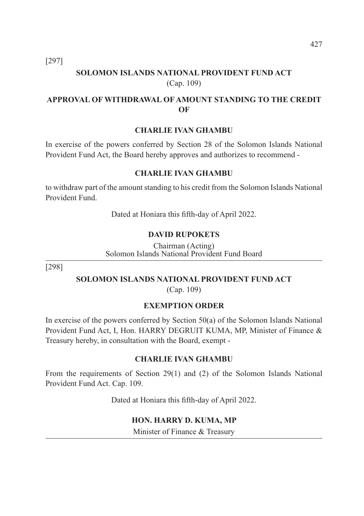[297]

## **SOLOMON ISLANDS NATIONAL PROVIDENT FUND ACT**  (Cap. 109)

## **APPROVAL OF WITHDRAWAL OF AMOUNT STANDING TO THE CREDIT OF**

#### **CHARLIE IVAN GHAMBU**

In exercise of the powers conferred by Section 28 of the Solomon Islands National Provident Fund Act, the Board hereby approves and authorizes to recommend -

#### **CHARLIE IVAN GHAMBU**

to withdraw part of the amount standing to his credit from the Solomon Islands National Provident Fund.

Dated at Honiara this fifth-day of April 2022.

#### **DAVID RUPOKETS**

Chairman (Acting) Solomon Islands National Provident Fund Board

[298]

#### **SOLOMON ISLANDS NATIONAL PROVIDENT FUND ACT**

(Cap. 109)

#### **EXEMPTION ORDER**

In exercise of the powers conferred by Section 50(a) of the Solomon Islands National Provident Fund Act, I, Hon. HARRY DEGRUIT KUMA, MP, Minister of Finance & Treasury hereby, in consultation with the Board, exempt -

#### **CHARLIE IVAN GHAMBU**

From the requirements of Section 29(1) and (2) of the Solomon Islands National Provident Fund Act. Cap. 109.

Dated at Honiara this fifth-day of April 2022.

#### **HON. HARRY D. KUMA, MP**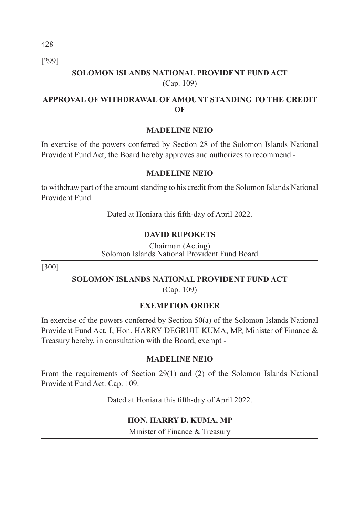[299]

## **SOLOMON ISLANDS NATIONAL PROVIDENT FUND ACT**  (Cap. 109)

## **APPROVAL OF WITHDRAWAL OF AMOUNT STANDING TO THE CREDIT OF**

#### **MADELINE NEIO**

In exercise of the powers conferred by Section 28 of the Solomon Islands National Provident Fund Act, the Board hereby approves and authorizes to recommend -

#### **MADELINE NEIO**

to withdraw part of the amount standing to his credit from the Solomon Islands National Provident Fund.

Dated at Honiara this fifth-day of April 2022.

#### **DAVID RUPOKETS**

Chairman (Acting) Solomon Islands National Provident Fund Board

[300]

#### **SOLOMON ISLANDS NATIONAL PROVIDENT FUND ACT**

(Cap. 109)

#### **EXEMPTION ORDER**

In exercise of the powers conferred by Section 50(a) of the Solomon Islands National Provident Fund Act, I, Hon. HARRY DEGRUIT KUMA, MP, Minister of Finance & Treasury hereby, in consultation with the Board, exempt -

#### **MADELINE NEIO**

From the requirements of Section 29(1) and (2) of the Solomon Islands National Provident Fund Act. Cap. 109.

Dated at Honiara this fifth-day of April 2022.

#### **HON. HARRY D. KUMA, MP**

Minister of Finance & Treasury

428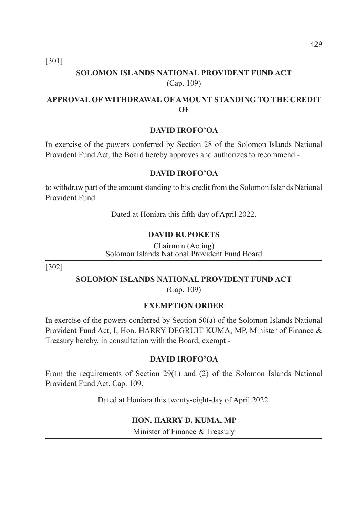[301]

## **SOLOMON ISLANDS NATIONAL PROVIDENT FUND ACT**  (Cap. 109)

## **APPROVAL OF WITHDRAWAL OF AMOUNT STANDING TO THE CREDIT OF**

#### **DAVID IROFO'OA**

In exercise of the powers conferred by Section 28 of the Solomon Islands National Provident Fund Act, the Board hereby approves and authorizes to recommend -

#### **DAVID IROFO'OA**

to withdraw part of the amount standing to his credit from the Solomon Islands National Provident Fund.

Dated at Honiara this fifth-day of April 2022.

#### **DAVID RUPOKETS**

Chairman (Acting) Solomon Islands National Provident Fund Board

[302]

#### **SOLOMON ISLANDS NATIONAL PROVIDENT FUND ACT**

(Cap. 109)

#### **EXEMPTION ORDER**

In exercise of the powers conferred by Section 50(a) of the Solomon Islands National Provident Fund Act, I, Hon. HARRY DEGRUIT KUMA, MP, Minister of Finance & Treasury hereby, in consultation with the Board, exempt -

#### **DAVID IROFO'OA**

From the requirements of Section 29(1) and (2) of the Solomon Islands National Provident Fund Act. Cap. 109.

Dated at Honiara this twenty-eight-day of April 2022.

#### **HON. HARRY D. KUMA, MP**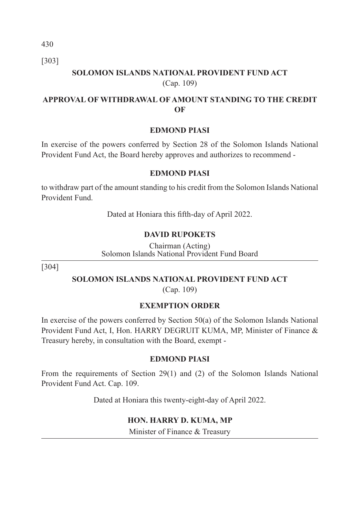430 [303]

## **SOLOMON ISLANDS NATIONAL PROVIDENT FUND ACT**  (Cap. 109)

## **APPROVAL OF WITHDRAWAL OF AMOUNT STANDING TO THE CREDIT OF**

## **EDMOND PIASI**

In exercise of the powers conferred by Section 28 of the Solomon Islands National Provident Fund Act, the Board hereby approves and authorizes to recommend -

#### **EDMOND PIASI**

to withdraw part of the amount standing to his credit from the Solomon Islands National Provident Fund.

Dated at Honiara this fifth-day of April 2022.

## **DAVID RUPOKETS**

Chairman (Acting) Solomon Islands National Provident Fund Board

[304]

## **SOLOMON ISLANDS NATIONAL PROVIDENT FUND ACT**

(Cap. 109)

#### **EXEMPTION ORDER**

In exercise of the powers conferred by Section 50(a) of the Solomon Islands National Provident Fund Act, I, Hon. HARRY DEGRUIT KUMA, MP, Minister of Finance & Treasury hereby, in consultation with the Board, exempt -

#### **EDMOND PIASI**

From the requirements of Section 29(1) and (2) of the Solomon Islands National Provident Fund Act. Cap. 109.

Dated at Honiara this twenty-eight-day of April 2022.

## **HON. HARRY D. KUMA, MP**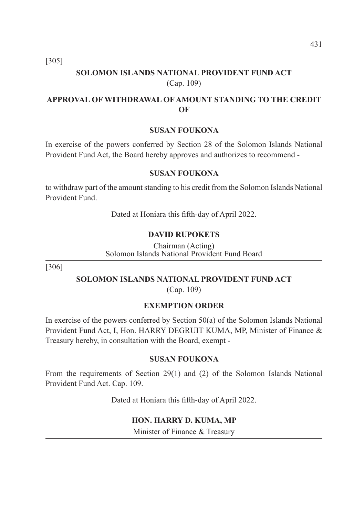[305]

## **SOLOMON ISLANDS NATIONAL PROVIDENT FUND ACT**  (Cap. 109)

## **APPROVAL OF WITHDRAWAL OF AMOUNT STANDING TO THE CREDIT OF**

#### **SUSAN FOUKONA**

In exercise of the powers conferred by Section 28 of the Solomon Islands National Provident Fund Act, the Board hereby approves and authorizes to recommend -

#### **SUSAN FOUKONA**

to withdraw part of the amount standing to his credit from the Solomon Islands National Provident Fund.

Dated at Honiara this fifth-day of April 2022.

#### **DAVID RUPOKETS**

Chairman (Acting) Solomon Islands National Provident Fund Board

[306]

#### **SOLOMON ISLANDS NATIONAL PROVIDENT FUND ACT**

(Cap. 109)

#### **EXEMPTION ORDER**

In exercise of the powers conferred by Section 50(a) of the Solomon Islands National Provident Fund Act, I, Hon. HARRY DEGRUIT KUMA, MP, Minister of Finance & Treasury hereby, in consultation with the Board, exempt -

## **SUSAN FOUKONA**

From the requirements of Section 29(1) and (2) of the Solomon Islands National Provident Fund Act. Cap. 109.

Dated at Honiara this fifth-day of April 2022.

#### **HON. HARRY D. KUMA, MP**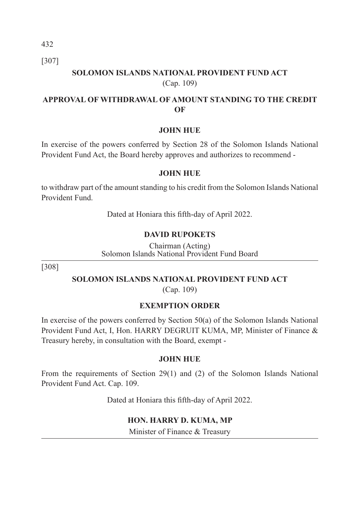[307]

## **SOLOMON ISLANDS NATIONAL PROVIDENT FUND ACT**  (Cap. 109)

## **APPROVAL OF WITHDRAWAL OF AMOUNT STANDING TO THE CREDIT OF**

#### **JOHN HUE**

In exercise of the powers conferred by Section 28 of the Solomon Islands National Provident Fund Act, the Board hereby approves and authorizes to recommend -

#### **JOHN HUE**

to withdraw part of the amount standing to his credit from the Solomon Islands National Provident Fund.

Dated at Honiara this fifth-day of April 2022.

#### **DAVID RUPOKETS**

Chairman (Acting) Solomon Islands National Provident Fund Board

[308]

#### **SOLOMON ISLANDS NATIONAL PROVIDENT FUND ACT**

(Cap. 109)

#### **EXEMPTION ORDER**

In exercise of the powers conferred by Section 50(a) of the Solomon Islands National Provident Fund Act, I, Hon. HARRY DEGRUIT KUMA, MP, Minister of Finance & Treasury hereby, in consultation with the Board, exempt -

#### **JOHN HUE**

From the requirements of Section 29(1) and (2) of the Solomon Islands National Provident Fund Act. Cap. 109.

Dated at Honiara this fifth-day of April 2022.

#### **HON. HARRY D. KUMA, MP**

Minister of Finance & Treasury

432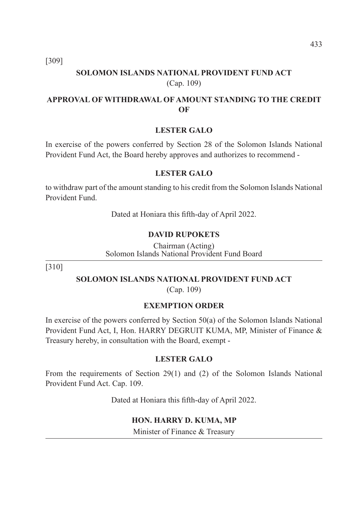[309]

## **SOLOMON ISLANDS NATIONAL PROVIDENT FUND ACT**  (Cap. 109)

## **APPROVAL OF WITHDRAWAL OF AMOUNT STANDING TO THE CREDIT OF**

#### **LESTER GALO**

In exercise of the powers conferred by Section 28 of the Solomon Islands National Provident Fund Act, the Board hereby approves and authorizes to recommend -

#### **LESTER GALO**

to withdraw part of the amount standing to his credit from the Solomon Islands National Provident Fund.

Dated at Honiara this fifth-day of April 2022.

#### **DAVID RUPOKETS**

Chairman (Acting) Solomon Islands National Provident Fund Board

[310]

#### **SOLOMON ISLANDS NATIONAL PROVIDENT FUND ACT**

(Cap. 109)

#### **EXEMPTION ORDER**

In exercise of the powers conferred by Section 50(a) of the Solomon Islands National Provident Fund Act, I, Hon. HARRY DEGRUIT KUMA, MP, Minister of Finance & Treasury hereby, in consultation with the Board, exempt -

#### **LESTER GALO**

From the requirements of Section 29(1) and (2) of the Solomon Islands National Provident Fund Act. Cap. 109.

Dated at Honiara this fifth-day of April 2022.

#### **HON. HARRY D. KUMA, MP**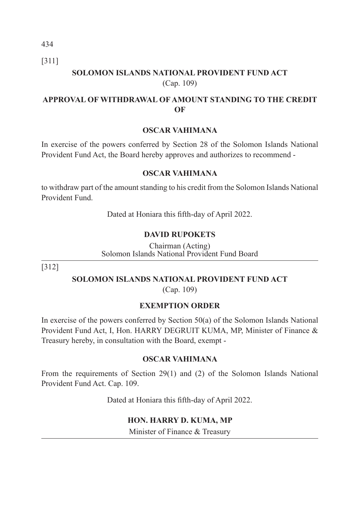434 [311]

## **SOLOMON ISLANDS NATIONAL PROVIDENT FUND ACT**  (Cap. 109)

## **APPROVAL OF WITHDRAWAL OF AMOUNT STANDING TO THE CREDIT OF**

## **OSCAR VAHIMANA**

In exercise of the powers conferred by Section 28 of the Solomon Islands National Provident Fund Act, the Board hereby approves and authorizes to recommend -

#### **OSCAR VAHIMANA**

to withdraw part of the amount standing to his credit from the Solomon Islands National Provident Fund.

Dated at Honiara this fifth-day of April 2022.

#### **DAVID RUPOKETS**

Chairman (Acting) Solomon Islands National Provident Fund Board

[312]

## **SOLOMON ISLANDS NATIONAL PROVIDENT FUND ACT**

(Cap. 109)

#### **EXEMPTION ORDER**

In exercise of the powers conferred by Section 50(a) of the Solomon Islands National Provident Fund Act, I, Hon. HARRY DEGRUIT KUMA, MP, Minister of Finance & Treasury hereby, in consultation with the Board, exempt -

#### **OSCAR VAHIMANA**

From the requirements of Section 29(1) and (2) of the Solomon Islands National Provident Fund Act. Cap. 109.

Dated at Honiara this fifth-day of April 2022.

#### **HON. HARRY D. KUMA, MP**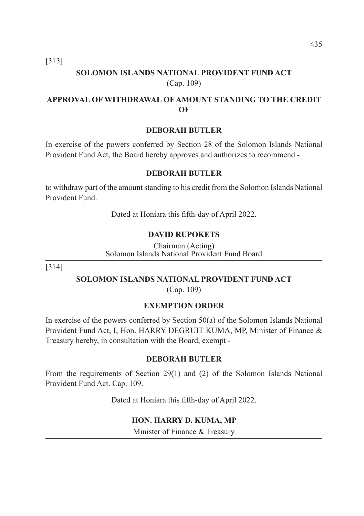[313]

## **SOLOMON ISLANDS NATIONAL PROVIDENT FUND ACT**  (Cap. 109)

## **APPROVAL OF WITHDRAWAL OF AMOUNT STANDING TO THE CREDIT OF**

#### **DEBORAH BUTLER**

In exercise of the powers conferred by Section 28 of the Solomon Islands National Provident Fund Act, the Board hereby approves and authorizes to recommend -

#### **DEBORAH BUTLER**

to withdraw part of the amount standing to his credit from the Solomon Islands National Provident Fund.

Dated at Honiara this fifth-day of April 2022.

#### **DAVID RUPOKETS**

Chairman (Acting) Solomon Islands National Provident Fund Board

[314]

#### **SOLOMON ISLANDS NATIONAL PROVIDENT FUND ACT**

(Cap. 109)

#### **EXEMPTION ORDER**

In exercise of the powers conferred by Section 50(a) of the Solomon Islands National Provident Fund Act, I, Hon. HARRY DEGRUIT KUMA, MP, Minister of Finance & Treasury hereby, in consultation with the Board, exempt -

#### **DEBORAH BUTLER**

From the requirements of Section 29(1) and (2) of the Solomon Islands National Provident Fund Act. Cap. 109.

Dated at Honiara this fifth-day of April 2022.

#### **HON. HARRY D. KUMA, MP**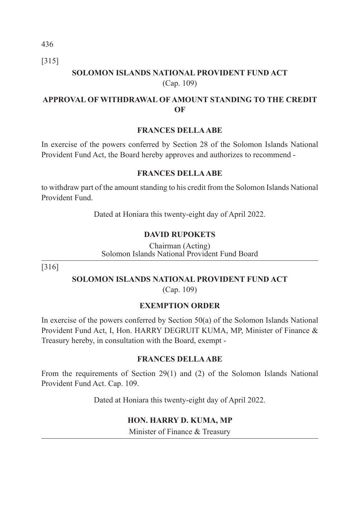436 [315]

## **SOLOMON ISLANDS NATIONAL PROVIDENT FUND ACT**  (Cap. 109)

## **APPROVAL OF WITHDRAWAL OF AMOUNT STANDING TO THE CREDIT OF**

## **FRANCES DELLA ABE**

In exercise of the powers conferred by Section 28 of the Solomon Islands National Provident Fund Act, the Board hereby approves and authorizes to recommend -

#### **FRANCES DELLA ABE**

to withdraw part of the amount standing to his credit from the Solomon Islands National Provident Fund.

Dated at Honiara this twenty-eight day of April 2022.

#### **DAVID RUPOKETS**

Chairman (Acting) Solomon Islands National Provident Fund Board

[316]

#### **SOLOMON ISLANDS NATIONAL PROVIDENT FUND ACT**

(Cap. 109)

#### **EXEMPTION ORDER**

In exercise of the powers conferred by Section 50(a) of the Solomon Islands National Provident Fund Act, I, Hon. HARRY DEGRUIT KUMA, MP, Minister of Finance & Treasury hereby, in consultation with the Board, exempt -

#### **FRANCES DELLA ABE**

From the requirements of Section 29(1) and (2) of the Solomon Islands National Provident Fund Act. Cap. 109.

Dated at Honiara this twenty-eight day of April 2022.

#### **HON. HARRY D. KUMA, MP**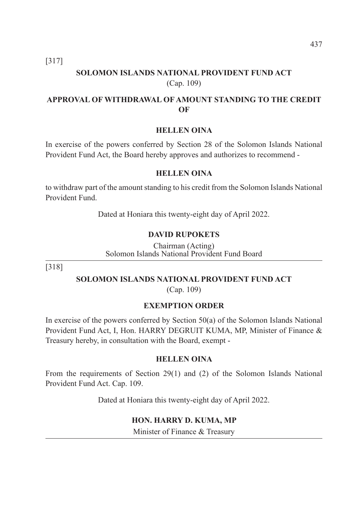[317]

## **SOLOMON ISLANDS NATIONAL PROVIDENT FUND ACT**  (Cap. 109)

## **APPROVAL OF WITHDRAWAL OF AMOUNT STANDING TO THE CREDIT OF**

#### **HELLEN OINA**

In exercise of the powers conferred by Section 28 of the Solomon Islands National Provident Fund Act, the Board hereby approves and authorizes to recommend -

#### **HELLEN OINA**

to withdraw part of the amount standing to his credit from the Solomon Islands National Provident Fund.

Dated at Honiara this twenty-eight day of April 2022.

#### **DAVID RUPOKETS**

Chairman (Acting) Solomon Islands National Provident Fund Board

[318]

#### **SOLOMON ISLANDS NATIONAL PROVIDENT FUND ACT**

(Cap. 109)

#### **EXEMPTION ORDER**

In exercise of the powers conferred by Section 50(a) of the Solomon Islands National Provident Fund Act, I, Hon. HARRY DEGRUIT KUMA, MP, Minister of Finance & Treasury hereby, in consultation with the Board, exempt -

#### **HELLEN OINA**

From the requirements of Section 29(1) and (2) of the Solomon Islands National Provident Fund Act. Cap. 109.

Dated at Honiara this twenty-eight day of April 2022.

#### **HON. HARRY D. KUMA, MP**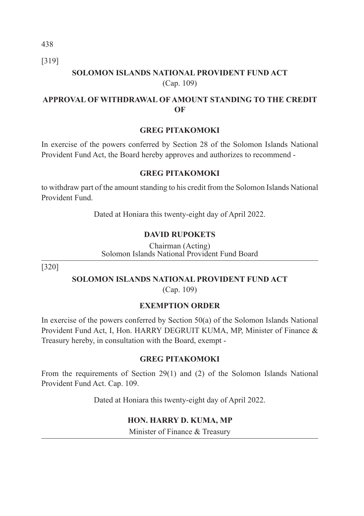438 [319]

## **SOLOMON ISLANDS NATIONAL PROVIDENT FUND ACT**  (Cap. 109)

## **APPROVAL OF WITHDRAWAL OF AMOUNT STANDING TO THE CREDIT OF**

## **GREG PITAKOMOKI**

In exercise of the powers conferred by Section 28 of the Solomon Islands National Provident Fund Act, the Board hereby approves and authorizes to recommend -

#### **GREG PITAKOMOKI**

to withdraw part of the amount standing to his credit from the Solomon Islands National Provident Fund.

Dated at Honiara this twenty-eight day of April 2022.

#### **DAVID RUPOKETS**

Chairman (Acting) Solomon Islands National Provident Fund Board

[320]

#### **SOLOMON ISLANDS NATIONAL PROVIDENT FUND ACT**

(Cap. 109)

#### **EXEMPTION ORDER**

In exercise of the powers conferred by Section 50(a) of the Solomon Islands National Provident Fund Act, I, Hon. HARRY DEGRUIT KUMA, MP, Minister of Finance & Treasury hereby, in consultation with the Board, exempt -

#### **GREG PITAKOMOKI**

From the requirements of Section 29(1) and (2) of the Solomon Islands National Provident Fund Act. Cap. 109.

Dated at Honiara this twenty-eight day of April 2022.

#### **HON. HARRY D. KUMA, MP**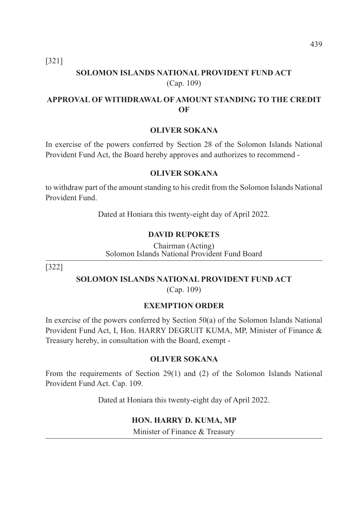[321]

## **SOLOMON ISLANDS NATIONAL PROVIDENT FUND ACT**  (Cap. 109)

## **APPROVAL OF WITHDRAWAL OF AMOUNT STANDING TO THE CREDIT OF**

#### **OLIVER SOKANA**

In exercise of the powers conferred by Section 28 of the Solomon Islands National Provident Fund Act, the Board hereby approves and authorizes to recommend -

#### **OLIVER SOKANA**

to withdraw part of the amount standing to his credit from the Solomon Islands National Provident Fund.

Dated at Honiara this twenty-eight day of April 2022.

#### **DAVID RUPOKETS**

Chairman (Acting) Solomon Islands National Provident Fund Board

[322]

#### **SOLOMON ISLANDS NATIONAL PROVIDENT FUND ACT**

(Cap. 109)

#### **EXEMPTION ORDER**

In exercise of the powers conferred by Section 50(a) of the Solomon Islands National Provident Fund Act, I, Hon. HARRY DEGRUIT KUMA, MP, Minister of Finance & Treasury hereby, in consultation with the Board, exempt -

#### **OLIVER SOKANA**

From the requirements of Section 29(1) and (2) of the Solomon Islands National Provident Fund Act. Cap. 109.

Dated at Honiara this twenty-eight day of April 2022.

#### **HON. HARRY D. KUMA, MP**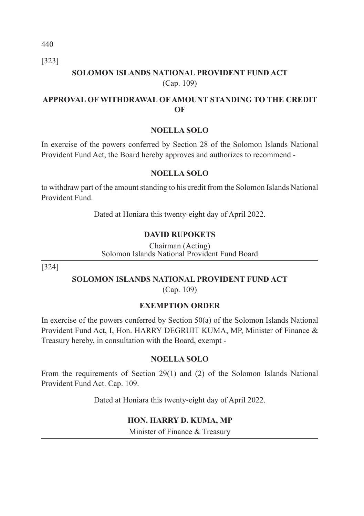440

[323]

## **SOLOMON ISLANDS NATIONAL PROVIDENT FUND ACT**  (Cap. 109)

## **APPROVAL OF WITHDRAWAL OF AMOUNT STANDING TO THE CREDIT OF**

## **NOELLA SOLO**

In exercise of the powers conferred by Section 28 of the Solomon Islands National Provident Fund Act, the Board hereby approves and authorizes to recommend -

#### **NOELLA SOLO**

to withdraw part of the amount standing to his credit from the Solomon Islands National Provident Fund.

Dated at Honiara this twenty-eight day of April 2022.

#### **DAVID RUPOKETS**

Chairman (Acting) Solomon Islands National Provident Fund Board

[324]

#### **SOLOMON ISLANDS NATIONAL PROVIDENT FUND ACT**

(Cap. 109)

#### **EXEMPTION ORDER**

In exercise of the powers conferred by Section 50(a) of the Solomon Islands National Provident Fund Act, I, Hon. HARRY DEGRUIT KUMA, MP, Minister of Finance & Treasury hereby, in consultation with the Board, exempt -

#### **NOELLA SOLO**

From the requirements of Section 29(1) and (2) of the Solomon Islands National Provident Fund Act. Cap. 109.

Dated at Honiara this twenty-eight day of April 2022.

#### **HON. HARRY D. KUMA, MP**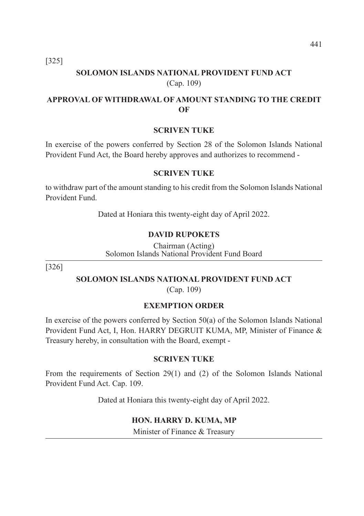[325]

## **SOLOMON ISLANDS NATIONAL PROVIDENT FUND ACT**  (Cap. 109)

## **APPROVAL OF WITHDRAWAL OF AMOUNT STANDING TO THE CREDIT OF**

#### **SCRIVEN TUKE**

In exercise of the powers conferred by Section 28 of the Solomon Islands National Provident Fund Act, the Board hereby approves and authorizes to recommend -

#### **SCRIVEN TUKE**

to withdraw part of the amount standing to his credit from the Solomon Islands National Provident Fund.

Dated at Honiara this twenty-eight day of April 2022.

#### **DAVID RUPOKETS**

Chairman (Acting) Solomon Islands National Provident Fund Board

[326]

#### **SOLOMON ISLANDS NATIONAL PROVIDENT FUND ACT**

(Cap. 109)

#### **EXEMPTION ORDER**

In exercise of the powers conferred by Section 50(a) of the Solomon Islands National Provident Fund Act, I, Hon. HARRY DEGRUIT KUMA, MP, Minister of Finance & Treasury hereby, in consultation with the Board, exempt -

#### **SCRIVEN TUKE**

From the requirements of Section 29(1) and (2) of the Solomon Islands National Provident Fund Act. Cap. 109.

Dated at Honiara this twenty-eight day of April 2022.

#### **HON. HARRY D. KUMA, MP**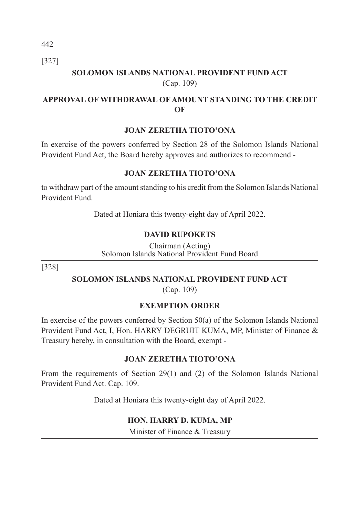442 [327]

## **SOLOMON ISLANDS NATIONAL PROVIDENT FUND ACT**  (Cap. 109)

## **APPROVAL OF WITHDRAWAL OF AMOUNT STANDING TO THE CREDIT OF**

## **JOAN ZERETHA TIOTO'ONA**

In exercise of the powers conferred by Section 28 of the Solomon Islands National Provident Fund Act, the Board hereby approves and authorizes to recommend -

#### **JOAN ZERETHA TIOTO'ONA**

to withdraw part of the amount standing to his credit from the Solomon Islands National Provident Fund.

Dated at Honiara this twenty-eight day of April 2022.

#### **DAVID RUPOKETS**

Chairman (Acting) Solomon Islands National Provident Fund Board

[328]

#### **SOLOMON ISLANDS NATIONAL PROVIDENT FUND ACT**

(Cap. 109)

#### **EXEMPTION ORDER**

In exercise of the powers conferred by Section 50(a) of the Solomon Islands National Provident Fund Act, I, Hon. HARRY DEGRUIT KUMA, MP, Minister of Finance & Treasury hereby, in consultation with the Board, exempt -

#### **JOAN ZERETHA TIOTO'ONA**

From the requirements of Section 29(1) and (2) of the Solomon Islands National Provident Fund Act. Cap. 109.

Dated at Honiara this twenty-eight day of April 2022.

#### **HON. HARRY D. KUMA, MP**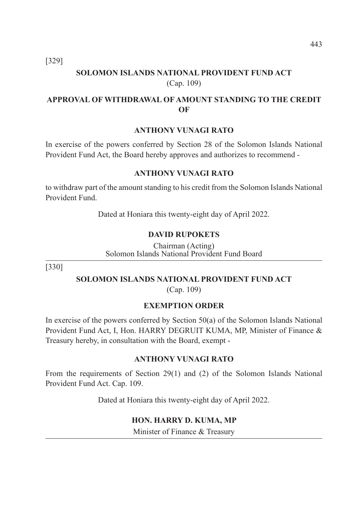[329]

## **SOLOMON ISLANDS NATIONAL PROVIDENT FUND ACT**  (Cap. 109)

## **APPROVAL OF WITHDRAWAL OF AMOUNT STANDING TO THE CREDIT OF**

#### **ANTHONY VUNAGI RATO**

In exercise of the powers conferred by Section 28 of the Solomon Islands National Provident Fund Act, the Board hereby approves and authorizes to recommend -

#### **ANTHONY VUNAGI RATO**

to withdraw part of the amount standing to his credit from the Solomon Islands National Provident Fund.

Dated at Honiara this twenty-eight day of April 2022.

#### **DAVID RUPOKETS**

Chairman (Acting) Solomon Islands National Provident Fund Board

[330]

## **SOLOMON ISLANDS NATIONAL PROVIDENT FUND ACT**

(Cap. 109)

#### **EXEMPTION ORDER**

In exercise of the powers conferred by Section 50(a) of the Solomon Islands National Provident Fund Act, I, Hon. HARRY DEGRUIT KUMA, MP, Minister of Finance & Treasury hereby, in consultation with the Board, exempt -

#### **ANTHONY VUNAGI RATO**

From the requirements of Section 29(1) and (2) of the Solomon Islands National Provident Fund Act. Cap. 109.

Dated at Honiara this twenty-eight day of April 2022.

#### **HON. HARRY D. KUMA, MP**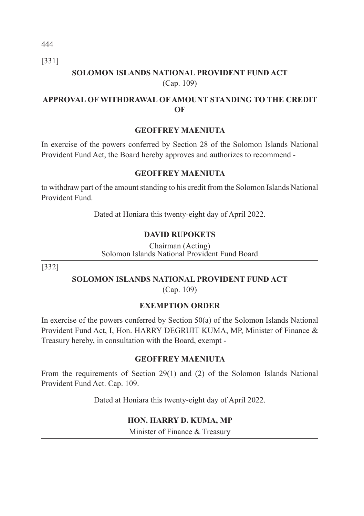444 [331]

## **SOLOMON ISLANDS NATIONAL PROVIDENT FUND ACT**  (Cap. 109)

## **APPROVAL OF WITHDRAWAL OF AMOUNT STANDING TO THE CREDIT OF**

## **GEOFFREY MAENIUTA**

In exercise of the powers conferred by Section 28 of the Solomon Islands National Provident Fund Act, the Board hereby approves and authorizes to recommend -

#### **GEOFFREY MAENIUTA**

to withdraw part of the amount standing to his credit from the Solomon Islands National Provident Fund.

Dated at Honiara this twenty-eight day of April 2022.

## **DAVID RUPOKETS**

Chairman (Acting) Solomon Islands National Provident Fund Board

[332]

## **SOLOMON ISLANDS NATIONAL PROVIDENT FUND ACT**

(Cap. 109)

#### **EXEMPTION ORDER**

In exercise of the powers conferred by Section 50(a) of the Solomon Islands National Provident Fund Act, I, Hon. HARRY DEGRUIT KUMA, MP, Minister of Finance & Treasury hereby, in consultation with the Board, exempt -

#### **GEOFFREY MAENIUTA**

From the requirements of Section 29(1) and (2) of the Solomon Islands National Provident Fund Act. Cap. 109.

Dated at Honiara this twenty-eight day of April 2022.

## **HON. HARRY D. KUMA, MP**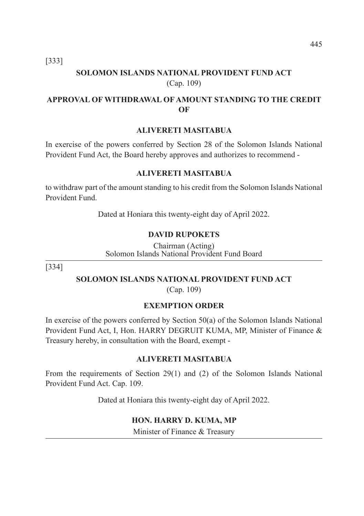[333]

## **SOLOMON ISLANDS NATIONAL PROVIDENT FUND ACT**  (Cap. 109)

## **APPROVAL OF WITHDRAWAL OF AMOUNT STANDING TO THE CREDIT OF**

#### **ALIVERETI MASITABUA**

In exercise of the powers conferred by Section 28 of the Solomon Islands National Provident Fund Act, the Board hereby approves and authorizes to recommend -

#### **ALIVERETI MASITABUA**

to withdraw part of the amount standing to his credit from the Solomon Islands National Provident Fund.

Dated at Honiara this twenty-eight day of April 2022.

#### **DAVID RUPOKETS**

Chairman (Acting) Solomon Islands National Provident Fund Board

[334]

#### **SOLOMON ISLANDS NATIONAL PROVIDENT FUND ACT**

(Cap. 109)

#### **EXEMPTION ORDER**

In exercise of the powers conferred by Section 50(a) of the Solomon Islands National Provident Fund Act, I, Hon. HARRY DEGRUIT KUMA, MP, Minister of Finance & Treasury hereby, in consultation with the Board, exempt -

#### **ALIVERETI MASITABUA**

From the requirements of Section 29(1) and (2) of the Solomon Islands National Provident Fund Act. Cap. 109.

Dated at Honiara this twenty-eight day of April 2022.

#### **HON. HARRY D. KUMA, MP**

Minister of Finance & Treasury

445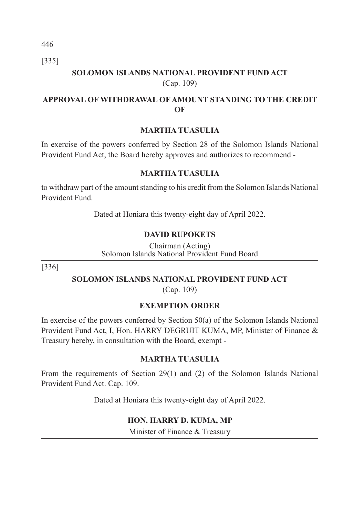446 [335]

## **SOLOMON ISLANDS NATIONAL PROVIDENT FUND ACT**  (Cap. 109)

## **APPROVAL OF WITHDRAWAL OF AMOUNT STANDING TO THE CREDIT OF**

## **MARTHA TUASULIA**

In exercise of the powers conferred by Section 28 of the Solomon Islands National Provident Fund Act, the Board hereby approves and authorizes to recommend -

#### **MARTHA TUASULIA**

to withdraw part of the amount standing to his credit from the Solomon Islands National Provident Fund.

Dated at Honiara this twenty-eight day of April 2022.

## **DAVID RUPOKETS**

Chairman (Acting) Solomon Islands National Provident Fund Board

[336]

## **SOLOMON ISLANDS NATIONAL PROVIDENT FUND ACT**

(Cap. 109)

## **EXEMPTION ORDER**

In exercise of the powers conferred by Section 50(a) of the Solomon Islands National Provident Fund Act, I, Hon. HARRY DEGRUIT KUMA, MP, Minister of Finance & Treasury hereby, in consultation with the Board, exempt -

## **MARTHA TUASULIA**

From the requirements of Section 29(1) and (2) of the Solomon Islands National Provident Fund Act. Cap. 109.

Dated at Honiara this twenty-eight day of April 2022.

## **HON. HARRY D. KUMA, MP**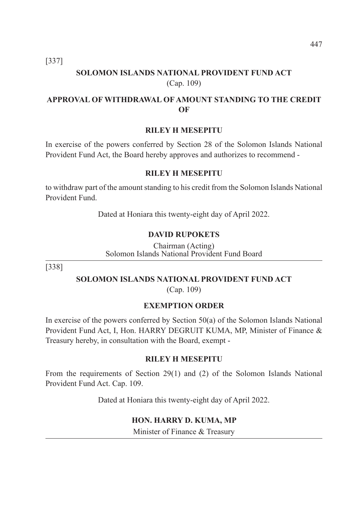[337]

## **SOLOMON ISLANDS NATIONAL PROVIDENT FUND ACT**  (Cap. 109)

## **APPROVAL OF WITHDRAWAL OF AMOUNT STANDING TO THE CREDIT OF**

#### **RILEY H MESEPITU**

In exercise of the powers conferred by Section 28 of the Solomon Islands National Provident Fund Act, the Board hereby approves and authorizes to recommend -

#### **RILEY H MESEPITU**

to withdraw part of the amount standing to his credit from the Solomon Islands National Provident Fund.

Dated at Honiara this twenty-eight day of April 2022.

#### **DAVID RUPOKETS**

Chairman (Acting) Solomon Islands National Provident Fund Board

[338]

#### **SOLOMON ISLANDS NATIONAL PROVIDENT FUND ACT**

(Cap. 109)

#### **EXEMPTION ORDER**

In exercise of the powers conferred by Section 50(a) of the Solomon Islands National Provident Fund Act, I, Hon. HARRY DEGRUIT KUMA, MP, Minister of Finance & Treasury hereby, in consultation with the Board, exempt -

#### **RILEY H MESEPITU**

From the requirements of Section 29(1) and (2) of the Solomon Islands National Provident Fund Act. Cap. 109.

Dated at Honiara this twenty-eight day of April 2022.

#### **HON. HARRY D. KUMA, MP**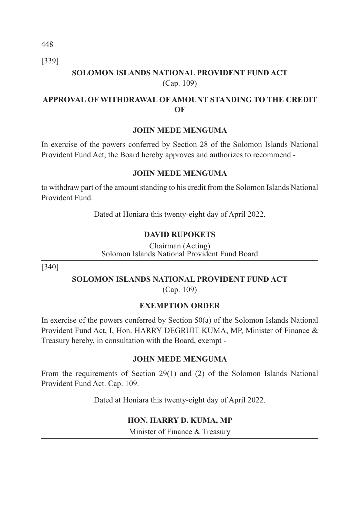[339]

## **SOLOMON ISLANDS NATIONAL PROVIDENT FUND ACT**  (Cap. 109)

## **APPROVAL OF WITHDRAWAL OF AMOUNT STANDING TO THE CREDIT OF**

#### **JOHN MEDE MENGUMA**

In exercise of the powers conferred by Section 28 of the Solomon Islands National Provident Fund Act, the Board hereby approves and authorizes to recommend -

#### **JOHN MEDE MENGUMA**

to withdraw part of the amount standing to his credit from the Solomon Islands National Provident Fund.

Dated at Honiara this twenty-eight day of April 2022.

#### **DAVID RUPOKETS**

Chairman (Acting) Solomon Islands National Provident Fund Board

[340]

#### **SOLOMON ISLANDS NATIONAL PROVIDENT FUND ACT**

(Cap. 109)

#### **EXEMPTION ORDER**

In exercise of the powers conferred by Section 50(a) of the Solomon Islands National Provident Fund Act, I, Hon. HARRY DEGRUIT KUMA, MP, Minister of Finance & Treasury hereby, in consultation with the Board, exempt -

#### **JOHN MEDE MENGUMA**

From the requirements of Section 29(1) and (2) of the Solomon Islands National Provident Fund Act. Cap. 109.

Dated at Honiara this twenty-eight day of April 2022.

#### **HON. HARRY D. KUMA, MP**

Minister of Finance & Treasury

448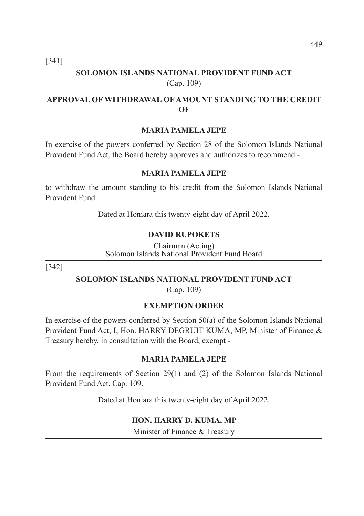[341]

## **SOLOMON ISLANDS NATIONAL PROVIDENT FUND ACT**  (Cap. 109)

## **APPROVAL OF WITHDRAWAL OF AMOUNT STANDING TO THE CREDIT OF**

#### **MARIA PAMELA JEPE**

In exercise of the powers conferred by Section 28 of the Solomon Islands National Provident Fund Act, the Board hereby approves and authorizes to recommend -

#### **MARIA PAMELA JEPE**

to withdraw the amount standing to his credit from the Solomon Islands National Provident Fund.

Dated at Honiara this twenty-eight day of April 2022.

#### **DAVID RUPOKETS**

Chairman (Acting) Solomon Islands National Provident Fund Board

[342]

#### **SOLOMON ISLANDS NATIONAL PROVIDENT FUND ACT**

(Cap. 109)

#### **EXEMPTION ORDER**

In exercise of the powers conferred by Section 50(a) of the Solomon Islands National Provident Fund Act, I, Hon. HARRY DEGRUIT KUMA, MP, Minister of Finance & Treasury hereby, in consultation with the Board, exempt -

## **MARIA PAMELA JEPE**

From the requirements of Section 29(1) and (2) of the Solomon Islands National Provident Fund Act. Cap. 109.

Dated at Honiara this twenty-eight day of April 2022.

#### **HON. HARRY D. KUMA, MP**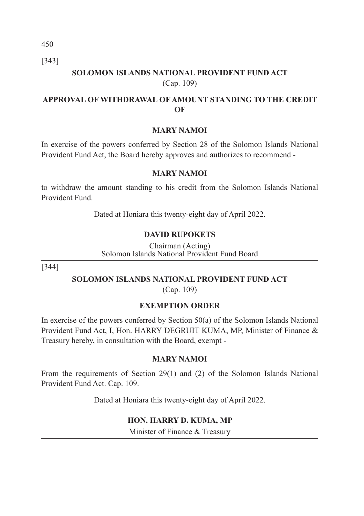450 [343]

## **SOLOMON ISLANDS NATIONAL PROVIDENT FUND ACT**  (Cap. 109)

## **APPROVAL OF WITHDRAWAL OF AMOUNT STANDING TO THE CREDIT OF**

#### **MARY NAMOI**

In exercise of the powers conferred by Section 28 of the Solomon Islands National Provident Fund Act, the Board hereby approves and authorizes to recommend -

#### **MARY NAMOI**

to withdraw the amount standing to his credit from the Solomon Islands National Provident Fund.

Dated at Honiara this twenty-eight day of April 2022.

#### **DAVID RUPOKETS**

Chairman (Acting) Solomon Islands National Provident Fund Board

[344]

#### **SOLOMON ISLANDS NATIONAL PROVIDENT FUND ACT**

(Cap. 109)

#### **EXEMPTION ORDER**

In exercise of the powers conferred by Section 50(a) of the Solomon Islands National Provident Fund Act, I, Hon. HARRY DEGRUIT KUMA, MP, Minister of Finance & Treasury hereby, in consultation with the Board, exempt -

#### **MARY NAMOI**

From the requirements of Section 29(1) and (2) of the Solomon Islands National Provident Fund Act. Cap. 109.

Dated at Honiara this twenty-eight day of April 2022.

#### **HON. HARRY D. KUMA, MP**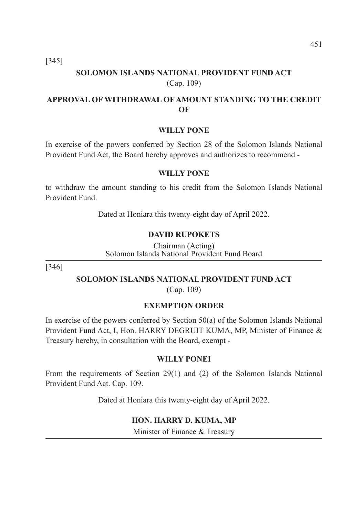[345]

## **SOLOMON ISLANDS NATIONAL PROVIDENT FUND ACT**  (Cap. 109)

## **APPROVAL OF WITHDRAWAL OF AMOUNT STANDING TO THE CREDIT OF**

#### **WILLY PONE**

In exercise of the powers conferred by Section 28 of the Solomon Islands National Provident Fund Act, the Board hereby approves and authorizes to recommend -

#### **WILLY PONE**

to withdraw the amount standing to his credit from the Solomon Islands National Provident Fund.

Dated at Honiara this twenty-eight day of April 2022.

#### **DAVID RUPOKETS**

Chairman (Acting) Solomon Islands National Provident Fund Board

[346]

#### **SOLOMON ISLANDS NATIONAL PROVIDENT FUND ACT**

(Cap. 109)

#### **EXEMPTION ORDER**

In exercise of the powers conferred by Section 50(a) of the Solomon Islands National Provident Fund Act, I, Hon. HARRY DEGRUIT KUMA, MP, Minister of Finance & Treasury hereby, in consultation with the Board, exempt -

#### **WILLY PONEI**

From the requirements of Section 29(1) and (2) of the Solomon Islands National Provident Fund Act. Cap. 109.

Dated at Honiara this twenty-eight day of April 2022.

#### **HON. HARRY D. KUMA, MP**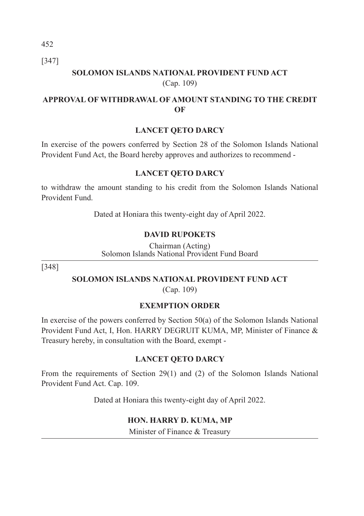452 [347]

## **SOLOMON ISLANDS NATIONAL PROVIDENT FUND ACT**  (Cap. 109)

## **APPROVAL OF WITHDRAWAL OF AMOUNT STANDING TO THE CREDIT OF**

## **LANCET QETO DARCY**

In exercise of the powers conferred by Section 28 of the Solomon Islands National Provident Fund Act, the Board hereby approves and authorizes to recommend -

## **LANCET QETO DARCY**

to withdraw the amount standing to his credit from the Solomon Islands National Provident Fund.

Dated at Honiara this twenty-eight day of April 2022.

## **DAVID RUPOKETS**

Chairman (Acting) Solomon Islands National Provident Fund Board

[348]

## **SOLOMON ISLANDS NATIONAL PROVIDENT FUND ACT**

(Cap. 109)

## **EXEMPTION ORDER**

In exercise of the powers conferred by Section 50(a) of the Solomon Islands National Provident Fund Act, I, Hon. HARRY DEGRUIT KUMA, MP, Minister of Finance & Treasury hereby, in consultation with the Board, exempt -

## **LANCET QETO DARCY**

From the requirements of Section 29(1) and (2) of the Solomon Islands National Provident Fund Act. Cap. 109.

Dated at Honiara this twenty-eight day of April 2022.

## **HON. HARRY D. KUMA, MP**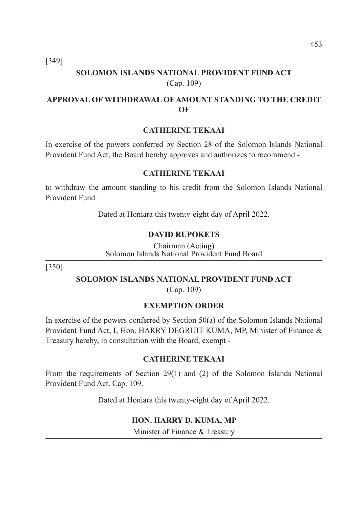[349]

## **SOLOMON ISLANDS NATIONAL PROVIDENT FUND ACT**  (Cap. 109)

## **APPROVAL OF WITHDRAWAL OF AMOUNT STANDING TO THE CREDIT OF**

#### **CATHERINE TEKAAI**

In exercise of the powers conferred by Section 28 of the Solomon Islands National Provident Fund Act, the Board hereby approves and authorizes to recommend -

#### **CATHERINE TEKAAI**

to withdraw the amount standing to his credit from the Solomon Islands National Provident Fund.

Dated at Honiara this twenty-eight day of April 2022.

#### **DAVID RUPOKETS**

Chairman (Acting) Solomon Islands National Provident Fund Board

[350]

#### **SOLOMON ISLANDS NATIONAL PROVIDENT FUND ACT**

(Cap. 109)

#### **EXEMPTION ORDER**

In exercise of the powers conferred by Section 50(a) of the Solomon Islands National Provident Fund Act, I, Hon. HARRY DEGRUIT KUMA, MP, Minister of Finance & Treasury hereby, in consultation with the Board, exempt -

#### **CATHERINE TEKAAI**

From the requirements of Section 29(1) and (2) of the Solomon Islands National Provident Fund Act. Cap. 109.

Dated at Honiara this twenty-eight day of April 2022.

#### **HON. HARRY D. KUMA, MP**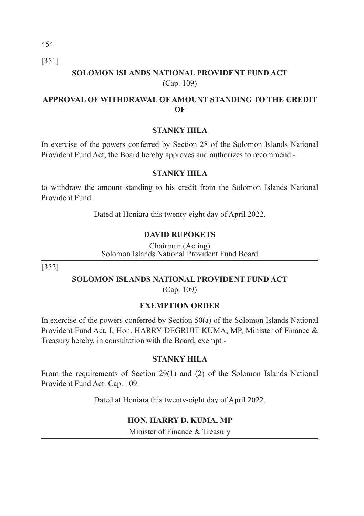[351]

## **SOLOMON ISLANDS NATIONAL PROVIDENT FUND ACT**  (Cap. 109)

## **APPROVAL OF WITHDRAWAL OF AMOUNT STANDING TO THE CREDIT OF**

#### **STANKY HILA**

In exercise of the powers conferred by Section 28 of the Solomon Islands National Provident Fund Act, the Board hereby approves and authorizes to recommend -

#### **STANKY HILA**

to withdraw the amount standing to his credit from the Solomon Islands National Provident Fund.

Dated at Honiara this twenty-eight day of April 2022.

#### **DAVID RUPOKETS**

Chairman (Acting) Solomon Islands National Provident Fund Board

[352]

#### **SOLOMON ISLANDS NATIONAL PROVIDENT FUND ACT**

(Cap. 109)

#### **EXEMPTION ORDER**

In exercise of the powers conferred by Section 50(a) of the Solomon Islands National Provident Fund Act, I, Hon. HARRY DEGRUIT KUMA, MP, Minister of Finance & Treasury hereby, in consultation with the Board, exempt -

## **STANKY HILA**

From the requirements of Section 29(1) and (2) of the Solomon Islands National Provident Fund Act. Cap. 109.

Dated at Honiara this twenty-eight day of April 2022.

#### **HON. HARRY D. KUMA, MP**

Minister of Finance & Treasury

454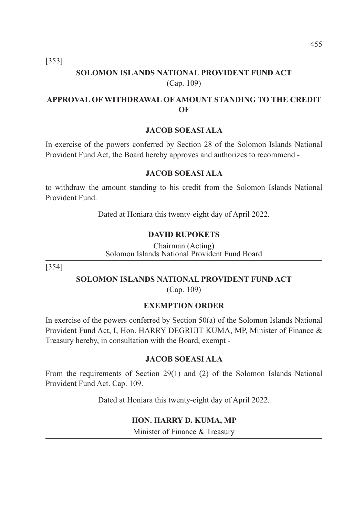[353]

## **SOLOMON ISLANDS NATIONAL PROVIDENT FUND ACT**  (Cap. 109)

## **APPROVAL OF WITHDRAWAL OF AMOUNT STANDING TO THE CREDIT OF**

#### **JACOB SOEASI ALA**

In exercise of the powers conferred by Section 28 of the Solomon Islands National Provident Fund Act, the Board hereby approves and authorizes to recommend -

#### **JACOB SOEASI ALA**

to withdraw the amount standing to his credit from the Solomon Islands National Provident Fund.

Dated at Honiara this twenty-eight day of April 2022.

#### **DAVID RUPOKETS**

Chairman (Acting) Solomon Islands National Provident Fund Board

[354]

#### **SOLOMON ISLANDS NATIONAL PROVIDENT FUND ACT**

(Cap. 109)

#### **EXEMPTION ORDER**

In exercise of the powers conferred by Section 50(a) of the Solomon Islands National Provident Fund Act, I, Hon. HARRY DEGRUIT KUMA, MP, Minister of Finance & Treasury hereby, in consultation with the Board, exempt -

#### **JACOB SOEASI ALA**

From the requirements of Section 29(1) and (2) of the Solomon Islands National Provident Fund Act. Cap. 109.

Dated at Honiara this twenty-eight day of April 2022.

#### **HON. HARRY D. KUMA, MP**